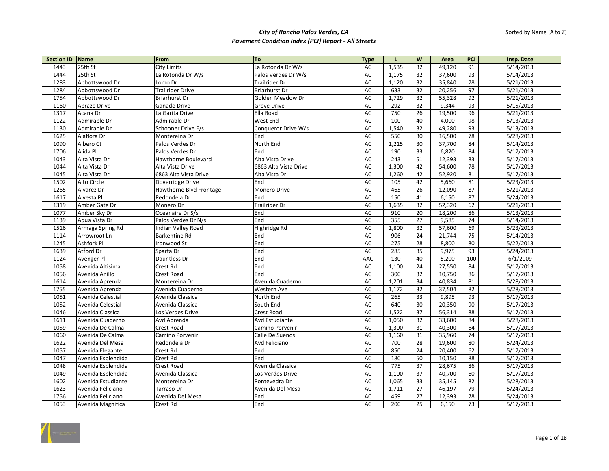| Section ID Name |                    | From                    | <b>To</b>             | <b>Type</b>   | L     | W               | Area   | PCI             | Insp. Date |
|-----------------|--------------------|-------------------------|-----------------------|---------------|-------|-----------------|--------|-----------------|------------|
| 1443            | 25th St            | <b>City Limits</b>      | La Rotonda Dr W/s     | AC            | 1,535 | 32              | 49,120 | 91              | 5/14/2013  |
| 1444            | 25th St            | La Rotonda Dr W/s       | Palos Verdes Dr W/s   | AC            | 1,175 | 32              | 37,600 | 93              | 5/14/2013  |
| 1283            | Abbottswood Dr     | Lomo Dr                 | Trailrider Dr         | AC            | 1,120 | 32              | 35,840 | 78              | 5/21/2013  |
| 1284            | Abbottswood Dr     | <b>Trailrider Drive</b> | <b>Briarhurst Dr</b>  | AC            | 633   | 32              | 20,256 | 97              | 5/21/2013  |
| 1754            | Abbottswood Dr     | <b>Briarhurst Dr</b>    | Golden Meadow Dr      | AC            | 1,729 | 32              | 55,328 | 92              | 5/21/2013  |
| 1160            | Abrazo Drive       | Ganado Drive            | <b>Greve Drive</b>    | AC            | 292   | 32              | 9,344  | 93              | 5/15/2013  |
| 1317            | Acana Dr           | La Garita Drive         | Ella Road             | AC            | 750   | 26              | 19,500 | 96              | 5/21/2013  |
| 1122            | Admirable Dr       | Admirable Dr            | West End              | AC            | 100   | 40              | 4,000  | 98              | 5/13/2013  |
| 1130            | Admirable Dr       | Schooner Drive E/s      | Conqueror Drive W/s   | AC            | 1,540 | 32              | 49,280 | 93              | 5/13/2013  |
| 1625            | Alaflora Dr        | Montereina Dr           | End                   | AC            | 550   | 30              | 16,500 | 78              | 5/28/2013  |
| 1090            | Albero Ct          | Palos Verdes Dr         | North End             | AC            | 1,215 | 30              | 37,700 | 84              | 5/14/2013  |
| 1706            | Alida Pl           | Palos Verdes Dr         | End                   | $\mathsf{AC}$ | 190   | 33              | 6,820  | 84              | 5/17/2013  |
| 1043            | Alta Vista Dr      | Hawthorne Boulevard     | Alta Vista Drive      | AC            | 243   | 51              | 12,393 | 83              | 5/17/2013  |
| 1044            | Alta Vista Dr      | Alta Vista Drive        | 6863 Alta Vista Drive | AC            | 1,300 | 42              | 54,600 | $\overline{78}$ | 5/17/2013  |
| 1045            | Alta Vista Dr      | 6863 Alta Vista Drive   | Alta Vista Dr         | AC            | 1,260 | 42              | 52,920 | 81              | 5/17/2013  |
| 1502            | Alto Circle        | Doverridge Drive        | End                   | <b>AC</b>     | 105   | 42              | 5,660  | 81              | 5/23/2013  |
| 1265            | Alvarez Dr         | Hawthorne Blvd Frontage | Monero Drive          | AC            | 465   | 26              | 12,090 | 87              | 5/21/2013  |
| 1617            | Alvesta Pl         | Redondela Dr            | End                   | AC            | 150   | 41              | 6,150  | 87              | 5/24/2013  |
| 1319            | Amber Gate Dr      | Monero Dr               | Trailrider Dr         | AC            | 1,635 | 32              | 52,320 | 62              | 5/21/2013  |
| 1077            | Amber Sky Dr       | Oceanaire Dr S/s        | End                   | AC            | 910   | 20              | 18,200 | 86              | 5/13/2013  |
| 1139            | Agua Vista Dr      | Palos Verdes Dr N/s     | End                   | AC            | 355   | 27              | 9,585  | $\overline{74}$ | 5/14/2013  |
| 1516            | Armaga Spring Rd   | Indian Valley Road      | Highridge Rd          | AC            | 1.800 | 32              | 57,600 | 69              | 5/23/2013  |
| 1114            | Arrowroot Ln       | Barkentine Rd           | End                   | AC            | 906   | 24              | 21,744 | 75              | 5/14/2013  |
| 1245            | Ashfork Pl         | Ironwood St             | End                   | <b>AC</b>     | 275   | 28              | 8,800  | 80              | 5/22/2013  |
| 1639            | Atford Dr          | Sparta Dr               | End                   | AC            | 285   | 35              | 9,975  | 93              | 5/24/2013  |
| 1124            | Avenger Pl         | Dauntless Dr            | End                   | AAC           | 130   | 40              | 5,200  | 100             | 6/1/2009   |
| 1058            | Avenida Altisima   | Crest Rd                | End                   | AC            | 1,100 | 24              | 27,550 | 84              | 5/17/2013  |
| 1056            | Avenida Anillo     | Crest Road              | End                   | AC            | 300   | 32              | 10,750 | 86              | 5/17/2013  |
| 1614            | Avenida Aprenda    | Montereina Dr           | Avenida Cuaderno      | $\mathsf{AC}$ | 1,201 | 34              | 40,834 | 81              | 5/28/2013  |
| 1755            | Avenida Aprenda    | Avenida Cuaderno        | Western Ave           | AC            | 1,172 | 32              | 37,504 | 82              | 5/28/2013  |
| 1051            | Avenida Celestial  | Avenida Classica        | North End             | AC            | 265   | 33              | 9,895  | 93              | 5/17/2013  |
| 1052            | Avenida Celestial  | Avenida Classica        | South End             | AC            | 640   | $\overline{30}$ | 20,350 | 90              | 5/17/2013  |
| 1046            | Avenida Classica   | Los Verdes Drive        | <b>Crest Road</b>     | AC            | 1,522 | 37              | 56,314 | 88              | 5/17/2013  |
| 1611            | Avenida Cuaderno   | Avd Aprenda             | Avd Estudiante        | AC            | 1,050 | 32              | 33,600 | 84              | 5/28/2013  |
| 1059            | Avenida De Calma   | Crest Road              | Camino Porvenir       | AC            | 1,300 | 31              | 40,300 | 64              | 5/17/2013  |
| 1060            | Avenida De Calma   | Camino Porvenir         | Calle De Suenos       | AC            | 1,160 | 31              | 35,960 | 74              | 5/17/2013  |
| 1622            | Avenida Del Mesa   | Redondela Dr            | Avd Feliciano         | $\mathsf{AC}$ | 700   | 28              | 19,600 | 80              | 5/24/2013  |
| 1057            | Avenida Elegante   | Crest Rd                | End                   | AC            | 850   | 24              | 20,400 | 62              | 5/17/2013  |
| 1047            | Avenida Esplendida | Crest Rd                | End                   | AC            | 180   | 50              | 10,150 | 88              | 5/17/2013  |
| 1048            | Avenida Esplendida | Crest Road              | Avenida Classica      | AC            | 775   | 37              | 28,675 | 86              | 5/17/2013  |
| 1049            | Avenida Esplendida | Avenida Classica        | Los Verdes Drive      | AC            | 1,100 | 37              | 40,700 | 60              | 5/17/2013  |
| 1602            | Avenida Estudiante | Montereina Dr           | Pontevedra Dr         | $\mathsf{AC}$ | 1,065 | 33              | 35,145 | 82              | 5/28/2013  |
| 1623            | Avenida Feliciano  | Tarraso Dr              | Avenida Del Mesa      | AC            | 1,711 | 27              | 46,197 | 79              | 5/24/2013  |
| 1756            | Avenida Feliciano  | Avenida Del Mesa        | End                   | AC            | 459   | 27              | 12,393 | 78              | 5/24/2013  |
| 1053            | Avenida Magnifica  | Crest Rd                | End                   | AC            | 200   | 25              | 6,150  | 73              | 5/17/2013  |

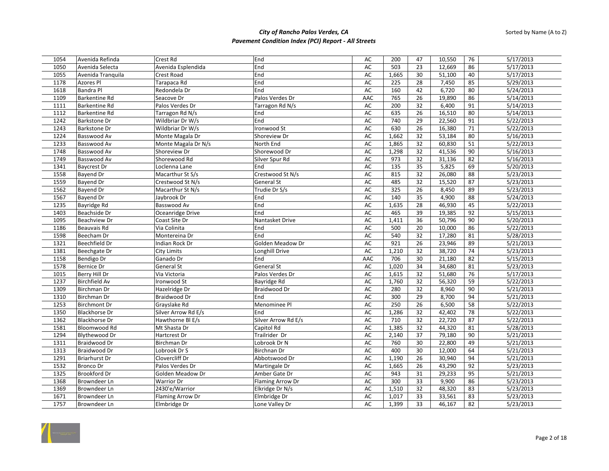| 1054 | Avenida Refinda      | Crest Rd            | End                 | AC        | 200   | 47              | 10,550 | 76              | 5/17/2013 |
|------|----------------------|---------------------|---------------------|-----------|-------|-----------------|--------|-----------------|-----------|
| 1050 | Avenida Selecta      | Avenida Esplendida  | End                 | AC        | 503   | 23              | 12,669 | 86              | 5/17/2013 |
| 1055 | Avenida Tranquila    | Crest Road          | End                 | AC        | 1,665 | 30              | 51,100 | 40              | 5/17/2013 |
| 1178 | Azores Pl            | Tarapaca Rd         | End                 | AC        | 225   | 28              | 7,450  | 85              | 5/29/2013 |
| 1618 | <b>Bandra Pl</b>     | Redondela Dr        | End                 | AC        | 160   | 42              | 6,720  | 80              | 5/24/2013 |
| 1109 | Barkentine Rd        | Seacove Dr          | Palos Verdes Dr     | AAC       | 765   | 26              | 19,890 | 86              | 5/14/2013 |
| 1111 | Barkentine Rd        | Palos Verdes Dr     | Tarragon Rd N/s     | AC        | 200   | 32              | 6,400  | 91              | 5/14/2013 |
| 1112 | Barkentine Rd        | Tarragon Rd N/s     | End                 | <b>AC</b> | 635   | 26              | 16,510 | 80              | 5/14/2013 |
| 1242 | <b>Barkstone Dr</b>  | Wildbriar Dr W/s    | End                 | <b>AC</b> | 740   | 29              | 22,560 | 91              | 5/22/2013 |
| 1243 | <b>Barkstone Dr</b>  | Wildbriar Dr W/s    | Ironwood St         | AC        | 630   | 26              | 16,380 | 71              | 5/22/2013 |
| 1224 | Basswood Av          | Monte Magala Dr     | Shoreview Dr        | <b>AC</b> | 1,662 | 32              | 53,184 | 80              | 5/16/2013 |
| 1233 | Basswood Av          | Monte Magala Dr N/s | North End           | AC        | 1,865 | 32              | 60,830 | 51              | 5/22/2013 |
| 1748 | Basswood Av          | Shoreview Dr        | Shorewood Dr        | AC        | 1,298 | 32              | 41,536 | 90              | 5/16/2013 |
| 1749 | Basswood Av          | Shorewood Rd        | Silver Spur Rd      | AC        | 973   | 32              | 31,136 | 82              | 5/16/2013 |
| 1341 | <b>Baycrest Dr</b>   | Loclenna Lane       | End                 | AC        | 135   | $\overline{35}$ | 5,825  | 69              | 5/20/2013 |
| 1558 | Bayend Dr            | Macarthur St S/s    | Crestwood St N/s    | AC        | 815   | 32              | 26,080 | 88              | 5/23/2013 |
| 1559 | <b>Bayend Dr</b>     | Crestwood St N/s    | General St          | <b>AC</b> | 485   | 32              | 15,520 | 87              | 5/23/2013 |
| 1562 | <b>Bayend Dr</b>     | Macarthur St N/s    | Trudie Dr S/s       | AC        | 325   | 26              | 8,450  | 89              | 5/23/2013 |
| 1567 | <b>Bayend Dr</b>     | Jaybrook Dr         | End                 | AC        | 140   | 35              | 4,900  | 88              | 5/24/2013 |
| 1235 | Bayridge Rd          | Basswood Av         | End                 | AC        | 1,635 | 28              | 46,930 | 45              | 5/22/2013 |
| 1403 | Beachside Dr         | Oceanridge Drive    | End                 | AC        | 465   | 39              | 19,385 | 92              | 5/15/2013 |
| 1095 | <b>Beachview Dr</b>  | Coast Site Dr       | Nantasket Drive     | AC        | 1,411 | 36              | 50,796 | 90              | 5/20/2013 |
| 1186 | Beauvais Rd          | Via Colinita        | End                 | AC        | 500   | 20              | 10,000 | 86              | 5/22/2013 |
| 1598 | Beecham Dr           | Montereina Dr       | End                 | AC        | 540   | 32              | 17,280 | 81              | 5/28/2013 |
| 1321 | Beechfield Dr        | Indian Rock Dr      | Golden Meadow Dr    | AC        | 921   | 26              | 23,946 | 89              | 5/21/2013 |
| 1381 | Beechgate Dr         | <b>City Limits</b>  | Longhill Drive      | AC        | 1,210 | 32              | 38,720 | 74              | 5/23/2013 |
| 1158 | Bendigo Dr           | Ganado Dr           | End                 | AAC       | 706   | 30              | 21,180 | 82              | 5/15/2013 |
| 1578 | Bernice Dr           | <b>General St</b>   | <b>General St</b>   | AC        | 1,020 | 34              | 34,680 | 81              | 5/23/2013 |
| 1015 | Berry Hill Dr        | Via Victoria        | Palos Verdes Dr     | AC        | 1,615 | $\overline{32}$ | 51,680 | 76              | 5/17/2013 |
| 1237 | <b>Birchfield Av</b> | Ironwood St         | Bayridge Rd         | <b>AC</b> | 1,760 | $\overline{32}$ | 56,320 | 59              | 5/22/2013 |
| 1309 | Birchman Dr          | Hazelridge Dr       | Braidwood Dr        | AC        | 280   | 32              | 8,960  | 90              | 5/21/2013 |
| 1310 | Birchman Dr          | Braidwood Dr        | End                 | <b>AC</b> | 300   | 29              | 8,700  | 94              | 5/21/2013 |
| 1253 | <b>Birchmont Dr</b>  | Grayslake Rd        | Menominee Pl        | <b>AC</b> | 250   | $\overline{26}$ | 6,500  | 58              | 5/22/2013 |
| 1350 | <b>Blackhorse Dr</b> | Silver Arrow Rd E/s | End                 | AC        | 1,286 | 32              | 42,402 | $\overline{78}$ | 5/22/2013 |
| 1362 | <b>Blackhorse Dr</b> | Hawthorne BI E/s    | Silver Arrow Rd E/s | AC        | 710   | 32              | 22,720 | 87              | 5/22/2013 |
| 1581 | Bloomwood Rd         | Mt Shasta Dr        | Capitol Rd          | AC        | 1,385 | 32              | 44,320 | 81              | 5/28/2013 |
| 1294 | <b>Blythewood Dr</b> | Hartcrest Dr        | Trailrider Dr       | AC        | 2,140 | 37              | 79,180 | 90              | 5/21/2013 |
| 1311 | Braidwood Dr         | Birchman Dr         | Lobrook Dr N        | AC        | 760   | 30              | 22,800 | 49              | 5/21/2013 |
| 1313 | Braidwood Dr         | Lobrook Dr S        | Birchnan Dr         | AC        | 400   | 30              | 12,000 | 64              | 5/21/2013 |
| 1291 | <b>Briarhurst Dr</b> | Clovercliff Dr      | Abbotswood Dr       | AC        | 1,190 | 26              | 30,940 | 94              | 5/21/2013 |
| 1532 | <b>Bronco Dr</b>     | Palos Verdes Dr     | Martingale Dr       | AC        | 1,665 | 26              | 43,290 | 92              | 5/23/2013 |
| 1325 | Brookford Dr         | Golden Meadow Dr    | Amber Gate Dr       | AC        | 943   | 31              | 29,233 | 95              | 5/21/2013 |
| 1368 | Browndeer Ln         | <b>Warrior Dr</b>   | Flaming Arrow Dr    | AC        | 300   | 33              | 9,900  | 86              | 5/23/2013 |
| 1369 | Browndeer Ln         | 2430'e/Warrior      | Elkridge Dr N/s     | <b>AC</b> | 1,510 | 32              | 48,320 | 83              | 5/23/2013 |
| 1671 | Browndeer Ln         | Flaming Arrow Dr    | Elmbridge Dr        | AC        | 1,017 | 33              | 33,561 | 83              | 5/23/2013 |
| 1757 | Browndeer Ln         | Elmbridge Dr        | Lone Valley Dr      | AC        | 1,399 | 33              | 46,167 | 82              | 5/23/2013 |

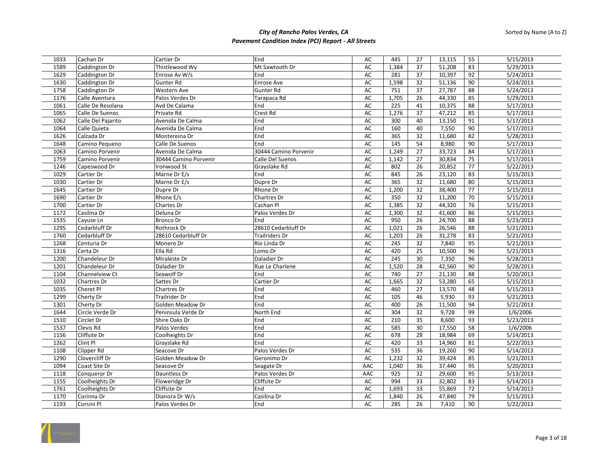| 1033 | Cachan Dr          | Cartier Dr            | End                   | AC            | 445   | 27 | 13,115 | 55              | 5/15/2013 |
|------|--------------------|-----------------------|-----------------------|---------------|-------|----|--------|-----------------|-----------|
| 1589 | Caddington Dr      | Thistlewood Wy        | Mt Sawtooth Dr        | AC            | 1,384 | 37 | 51,208 | 83              | 5/29/2013 |
| 1629 | Caddington Dr      | Enrose Av W/s         | End                   | AC            | 281   | 37 | 10,397 | 92              | 5/24/2013 |
| 1630 | Caddington Dr      | Gunter Rd             | Enrose Ave            | AC            | 1,598 | 32 | 51,136 | 90              | 5/24/2013 |
| 1758 | Caddington Dr      | Western Ave           | Gunter Rd             | AC            | 751   | 37 | 27,787 | 88              | 5/24/2013 |
| 1176 | Calle Aventura     | Palos Verdes Dr       | Tarapaca Rd           | AC            | 1,705 | 26 | 44,330 | 85              | 5/29/2013 |
| 1061 | Calle De Resolana  | Avd De Calama         | End                   | AC            | 225   | 41 | 10,375 | 88              | 5/17/2013 |
| 1065 | Calle De Suenos    | Private Rd            | <b>Crest Rd</b>       | AC            | 1,276 | 37 | 47,212 | 85              | 5/17/2013 |
| 1062 | Calle Del Pajarito | Avenida De Calma      | End                   | $\mathsf{AC}$ | 300   | 40 | 13,150 | 91              | 5/17/2013 |
| 1064 | Calle Quieta       | Avenida De Calma      | End                   | AC            | 160   | 40 | 7,550  | 90              | 5/17/2013 |
| 1626 | Calzada Dr         | Montereina Dr         | End                   | AC            | 365   | 32 | 11,680 | 82              | 5/28/2013 |
| 1648 | Camino Pequeno     | Calle De Suenos       | End                   | AC            | 145   | 54 | 8,980  | 90              | 5/17/2013 |
| 1063 | Camino Porvenir    | Avenida De Calma      | 30444 Camino Porvenir | AC            | 1,249 | 27 | 33,723 | 84              | 5/17/2013 |
| 1759 | Camino Porvenir    | 30444 Camino Porvenir | Calle Del Suenos      | AC            | 1,142 | 27 | 30,834 | 75              | 5/17/2013 |
| 1246 | Capeswood Dr       | Ironwood St           | Grayslake Rd          | AC            | 802   | 26 | 20,852 | 77              | 5/22/2013 |
| 1029 | Cartier Dr         | Marne Dr E/s          | End                   | AC            | 845   | 26 | 23,120 | 83              | 5/15/2013 |
| 1030 | Cartier Dr         | Marne Dr E/s          | Dupre Dr              | AC            | 365   | 32 | 11,680 | 80              | 5/15/2013 |
| 1645 | Cartier Dr         | Dupre Dr              | Rhone Dr              | AC            | 1,200 | 32 | 38,400 | 77              | 5/15/2013 |
| 1690 | Cartier Dr         | Rhone E/s             | Chartres Dr           | AC            | 350   | 32 | 11,200 | 70              | 5/15/2013 |
| 1700 | Cartier Dr         | Chartes Dr            | Cachan Pl             | AC            | 1,385 | 32 | 44,320 | 76              | 5/15/2013 |
| 1172 | Casilina Dr        | Deluna Dr             | Palos Verdes Dr       | AC            | 1,300 | 32 | 41,600 | 86              | 5/15/2013 |
| 1535 | Cayuse Ln          | Bronco Dr             | End                   | AC            | 950   | 26 | 24,700 | 88              | 5/23/2013 |
| 1295 | Cedarbluff Dr      | Rothrock Dr           | 28610 Cedarbluff Dr   | AC            | 1,021 | 26 | 26,546 | 88              | 5/21/2013 |
| 1760 | Cedarbluff Dr      | 28610 Cedarbluff Dr   | <b>Trailriders Dr</b> | AC            | 1,203 | 26 | 31,278 | 83              | 5/21/2013 |
| 1268 | Centuria Dr        | Monero Dr             | Rio Linda Dr          | AC            | 245   | 32 | 7,840  | 95              | 5/21/2013 |
| 1316 | Certa Dr           | Ella Rd               | Lomo Dr               | AC            | 420   | 25 | 10,500 | $\overline{96}$ | 5/21/2013 |
| 1200 | Chandeleur Dr      | Miraleste Dr          | Daladier Dr           | AC            | 245   | 30 | 7,350  | 96              | 5/28/2013 |
| 1201 | Chandeleur Dr      | Daladier Dr           | Rue Le Charlene       | AC            | 1,520 | 28 | 42,560 | 90              | 5/28/2013 |
| 1104 | Channelview Ct     | Seawolf Dr            | End                   | AC            | 740   | 27 | 21,130 | 88              | 5/20/2013 |
| 1032 | Chartres Dr        | Sattes Dr             | Cartier Dr            | AC            | 1,665 | 32 | 53,280 | 65              | 5/15/2013 |
| 1035 | Cheret Pl          | Chartres Dr           | End                   | AC            | 460   | 27 | 13,570 | 48              | 5/15/2013 |
| 1299 | Cherty Dr          | Trailrider Dr         | End                   | <b>AC</b>     | 105   | 46 | 5,930  | 93              | 5/21/2013 |
| 1301 | Cherty Dr          | Golden Meadow Dr      | End                   | AC            | 400   | 26 | 11,500 | 94              | 5/21/2013 |
| 1644 | Circle Verde Dr    | Peninsula Verde Dr    | North End             | AC            | 304   | 32 | 9,728  | 99              | 1/6/2006  |
| 1510 | Circlet Dr         | Shire Oaks Dr         | End                   | AC            | 210   | 35 | 8,600  | 93              | 5/23/2013 |
| 1537 | Clevis Rd          | Palos Verdes          | End                   | AC            | 585   | 30 | 17,550 | 58              | 1/6/2006  |
| 1156 | Cliffsite Dr       | Coolheights Dr        | End                   | AC            | 678   | 28 | 18,984 | 69              | 5/14/2013 |
| 1262 | Clint Pl           | Grayslake Rd          | End                   | $\mathsf{AC}$ | 420   | 33 | 14,960 | 81              | 5/22/2013 |
| 1108 | Clipper Rd         | Seacove Dr            | Palos Verdes Dr       | AC            | 535   | 36 | 19,260 | 90              | 5/14/2013 |
| 1290 | Clovercliff Dr     | Golden Meadow Dr      | Geronimo Dr           | AC            | 1,232 | 32 | 39,424 | 85              | 5/21/2013 |
| 1094 | Coast Site Dr      | Seacove Dr            | Seagate Dr            | AAC           | 1,040 | 36 | 37,440 | 95              | 5/20/2013 |
| 1118 | Conqueror Dr       | Dauntless Dr          | Palos Verdes Dr       | AAC           | 925   | 32 | 29,600 | 95              | 5/13/2013 |
| 1155 | Coolheights Dr     | Floweridge Dr         | Cliffsite Dr          | AC            | 994   | 33 | 32,802 | 83              | 5/14/2013 |
| 1761 | Coolheights Dr     | Cliffsite Dr          | End                   | AC            | 1,693 | 33 | 55,869 | 72              | 5/14/2013 |
| 1170 | Corinna Dr         | Dianora Dr W/s        | Casilina Dr           | AC            | 1,840 | 26 | 47,840 | 79              | 5/15/2013 |
| 1193 | Corsini Pl         | Palos Verdes Dr       | End                   | AC            | 285   | 26 | 7,410  | 90              | 5/22/2013 |
|      |                    |                       |                       |               |       |    |        |                 |           |

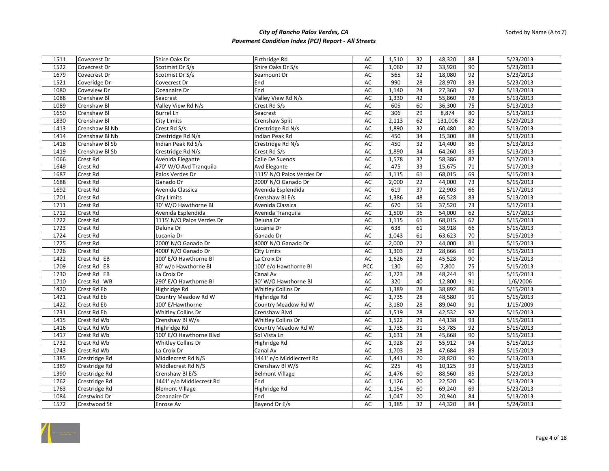| 1511 | Covecrest Dr   | Shire Oaks Dr             | Firthridge Rd             | AC        | 1,510          | 32              | 48,320           | 88       | 5/23/2013 |
|------|----------------|---------------------------|---------------------------|-----------|----------------|-----------------|------------------|----------|-----------|
| 1522 | Covecrest Dr   | Scotmist Dr S/s           | Shire Oaks Dr S/s         | AC        | 1,060          | 32              | 33,920           | 90       | 5/23/2013 |
| 1679 | Covecrest Dr   | Scotmist Dr S/s           | Seamount Dr               | AC        | 565            | 32              | 18,080           | 92       | 5/23/2013 |
| 1521 | Coveridge Dr   | Covecrest Dr              | End                       | AC        | 990            | 28              | 28,970           | 83       | 5/23/2013 |
| 1080 | Coveview Dr    | Oceanaire Dr              | End                       | AC        | 1,140          | 24              | 27,360           | 92       | 5/13/2013 |
| 1088 | Crenshaw Bl    | Seacrest                  | Valley View Rd N/s        | AC        | 1,330          | 42              | 55,860           | 78       | 5/13/2013 |
| 1089 | Crenshaw Bl    | Valley View Rd N/s        | Crest Rd S/s              | AC        | 605            | 60              | 36,300           | 75       | 5/13/2013 |
| 1650 | Crenshaw Bl    | <b>Burrel Ln</b>          | Seacrest                  | AC        | 306            | 29              | 8,874            | 80       | 5/13/2013 |
| 1830 | Crenshaw Bl    | <b>City Limits</b>        | Crenshaw Split            | AC        | 2,113          | 62              | 131,006          | 82       | 5/29/2013 |
| 1413 | Crenshaw Bl Nb | Crest Rd S/s              | Crestridge Rd N/s         | AC        | 1,890          | 32              | 60,480           | 80       | 5/13/2013 |
| 1414 | Crenshaw Bl Nb | Crestridge Rd N/s         | Indian Peak Rd            | AC        | 450            | 34              | 15,300           | 88       | 5/13/2013 |
| 1418 | Crenshaw BI Sb | Indian Peak Rd S/s        | Crestridge Rd N/s         | <b>AC</b> | 450            | $\overline{32}$ | 14,400           | 86       | 5/13/2013 |
| 1419 | Crenshaw BI Sb | Crestridge Rd N/s         | Crest Rd S/s              | AC        | 1,890          | 34              | 64,260           | 85       | 5/13/2013 |
| 1066 | Crest Rd       | Avenida Elegante          | Calle De Suenos           | AC        | 1,578          | 37              | 58,386           | 87       | 5/17/2013 |
| 1649 | Crest Rd       | 470' W/O Avd Tranquila    | Avd Elegante              | AC        | 475            | 33              | 15,675           | 71       | 5/17/2013 |
| 1687 | Crest Rd       | Palos Verdes Dr           | 1115' N/O Palos Verdes Dr | AC        | 1,115          | 61              | 68,015           | 69       | 5/15/2013 |
| 1688 | Crest Rd       | Ganado Dr                 | 2000' N/O Ganado Dr       | AC        | 2,000          | 22              | 44,000           | 73       | 5/15/2013 |
| 1692 | Crest Rd       | Avenida Classica          | Avenida Esplendida        | AC        | 619            | 37              | 22,903           | 66       | 5/17/2013 |
| 1701 | Crest Rd       | <b>City Limits</b>        | Crenshaw Bl E/s           | AC        | 1,386          | 48              | 66,528           | 83       | 5/13/2013 |
| 1711 | Crest Rd       | 30' W/O Hawthorne Bl      | Avenida Classica          | AC        | 670            | 56              | 37,520           | 73       | 5/17/2013 |
| 1712 | Crest Rd       | Avenida Esplendida        | Avenida Tranquila         | AC        | 1,500          | 36              | 54,000           | 62       | 5/17/2013 |
| 1722 | Crest Rd       | 1115' N/O Palos Verdes Dr | Deluna Dr                 | AC        | 1,115          | 61              | 68,015           | 67       | 5/15/2013 |
| 1723 | Crest Rd       | Deluna Dr                 | Lucania Dr                | AC        | 638            | 61              | 38,918           | 66       | 5/15/2013 |
| 1724 | Crest Rd       | Lucania Dr                | Ganado Dr                 | AC        | 1,043          | 61              | 63,623           | 70       | 5/15/2013 |
| 1725 | Crest Rd       | 2000' N/O Ganado Dr       | 4000' N/O Ganado Dr       | <b>AC</b> | 2,000          | 22              | 44,000           | 81       | 5/15/2013 |
| 1726 | Crest Rd       | 4000' N/O Ganado Dr       | <b>City Limits</b>        | AC        | 1,303          | 22              | 28,666           | 69       | 5/15/2013 |
| 1422 | Crest Rd EB    | 100' E/O Hawthorne Bl     | La Croix Dr               | AC        | 1,626          | 28              | 45,528           | 90       | 5/15/2013 |
| 1709 | Crest Rd EB    | 30' w/o Hawthorne Bl      | 100' e/o Hawthorne Bl     | PCC       | 130            | 60              | 7,800            | 75       | 5/15/2013 |
| 1730 | Crest Rd EB    | La Croix Dr               | Canal Av                  | AC        | 1,723          | 28              | 48,244           | 91       | 5/15/2013 |
| 1710 | Crest Rd WB    | 290' E/O Hawthorne Bl     | 30' W/O Hawthorne Bl      | AC        | 320            | 40              | 12,800           | 91       | 1/6/2006  |
| 1420 | Crest Rd Eb    | Highridge Rd              | Whitley Collins Dr        | AC        | 1,389          | 28              | 38,892           | 86       | 5/15/2013 |
| 1421 | Crest Rd Eb    | Country Meadow Rd W       | Highridge Rd              | AC        | 1,735          | 28              | 48,580           | 91       | 5/15/2013 |
| 1422 | Crest Rd Eb    | 100' E/Hawthorne          | Country Meadow Rd W       | AC        | 3,180          | 28              | 89,040           | 91       | 1/15/2009 |
| 1731 | Crest Rd Eb    | Whitley Collins Dr        | Crenshaw Blvd             | AC        | 1,519          | 28              | 42,532           | 92       | 5/15/2013 |
|      |                |                           |                           | <b>AC</b> |                |                 |                  |          |           |
| 1415 | Crest Rd Wb    | Crenshaw Bl W/s           | Whitley Collins Dr        | AC        | 1,522<br>1,735 | 29<br>31        | 44,138<br>53,785 | 93<br>92 | 5/15/2013 |
| 1416 | Crest Rd Wb    | Highridge Rd              | Country Meadow Rd W       |           |                |                 |                  |          | 5/15/2013 |
| 1417 | Crest Rd Wb    | 100' E/O Hawthorne Blvd   | Sol Vista Ln              | AC        | 1,631          | 28              | 45,668           | 90       | 5/15/2013 |
| 1732 | Crest Rd Wb    | Whitley Collins Dr        | Highridge Rd              | <b>AC</b> | 1,928          | 29              | 55,912           | 94       | 5/15/2013 |
| 1743 | Crest Rd Wb    | La Croix Dr               | Canal Av                  | AC        | 1,703          | 28              | 47,684           | 89       | 5/15/2013 |
| 1385 | Crestridge Rd  | Middlecrest Rd N/S        | 1441' e/o Middlecrest Rd  | AC        | 1,441          | 20              | 28,820           | 90       | 5/13/2013 |
| 1389 | Crestridge Rd  | Middlecrest Rd N/S        | Crenshaw Bl W/S           | AC        | 225            | 45              | 10,125           | 93       | 5/13/2013 |
| 1390 | Crestridge Rd  | Crenshaw BI E/S           | <b>Belmont Village</b>    | AC        | 1,476          | 60              | 88,560           | 85       | 5/23/2013 |
| 1762 | Crestridge Rd  | 1441' e/o Middlecrest Rd  | End                       | AC        | 1,126          | 20              | 22,520           | 90       | 5/13/2013 |
| 1763 | Crestridge Rd  | <b>Blemont Village</b>    | Highridge Rd              | <b>AC</b> | 1,154          | 60              | 69,240           | 69       | 5/23/2013 |
| 1084 | Crestwind Dr   | Oceanaire Dr              | End                       | AC        | 1,047          | 20              | 20,940           | 84       | 5/13/2013 |
| 1572 | Crestwood St   | <b>Enrose Av</b>          | Bayend Dr E/s             | AC        | 1,385          | 32              | 44,320           | 84       | 5/24/2013 |

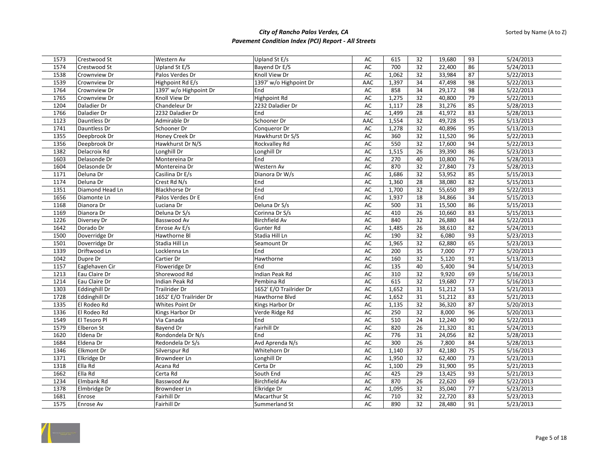| 1573 | Crestwood St      | Western Av              | Upland St E/s           | AC            | 615   | 32 | 19,680 | 93   | 5/24/2013 |
|------|-------------------|-------------------------|-------------------------|---------------|-------|----|--------|------|-----------|
| 1574 | Crestwood St      | Upland St E/S           | Bayend Dr E/S           | AC            | 700   | 32 | 22,400 | 86   | 5/24/2013 |
| 1538 | Crownview Dr      | Palos Verdes Dr         | Knoll View Dr           | AC            | 1,062 | 32 | 33,984 | 87   | 5/22/2013 |
| 1539 | Crownview Dr      | Highpoint Rd E/s        | 1397' w/o Highpoint Dr  | AAC           | 1,397 | 34 | 47,498 | 98   | 5/22/2013 |
| 1764 | Crownview Dr      | 1397' w/o Highpoint Dr  | End                     | AC            | 858   | 34 | 29,172 | 98   | 5/22/2013 |
| 1765 | Crownview Dr      | Knoll View Dr           | Highpoint Rd            | AC            | 1,275 | 32 | 40,800 | 79   | 5/22/2013 |
| 1204 | Daladier Dr       | Chandeleur Dr           | 2232 Daladier Dr        | <b>AC</b>     | 1,117 | 28 | 31,276 | 85   | 5/28/2013 |
| 1766 | Daladier Dr       | 2232 Daladier Dr        | End                     | $\mathsf{AC}$ | 1,499 | 28 | 41,972 | 83   | 5/28/2013 |
| 1123 | Dauntless Dr      | Admirable Dr            | Schooner Dr             | AAC           | 1,554 | 32 | 49,728 | 95   | 5/13/2013 |
| 1741 | Dauntless Dr      | Schooner Dr             | Conqueror Dr            | AC            | 1,278 | 32 | 40,896 | 95   | 5/13/2013 |
| 1355 | Deepbrook Dr      | Honey Creek Dr          | Hawkhurst Dr S/S        | AC            | 360   | 32 | 11,520 | 96   | 5/22/2013 |
| 1356 | Deepbrook Dr      | Hawkhurst Dr N/S        | Rockvalley Rd           | AC            | 550   | 32 | 17,600 | 94   | 5/22/2013 |
| 1382 | Delacroix Rd      | Longhill Dr             | Longhill Dr             | AC            | 1,515 | 26 | 39,390 | 86   | 5/23/2013 |
| 1603 | Delasonde Dr      | Montereina Dr           | End                     | AC            | 270   | 40 | 10,800 | 76   | 5/28/2013 |
| 1604 | Delasonde Dr      | Montereina Dr           | Western Av              | AC            | 870   | 32 | 27,840 | 73   | 5/28/2013 |
| 1171 | Deluna Dr         | Casilina Dr E/s         | Dianora Dr W/s          | AC            | 1,686 | 32 | 53,952 | 85   | 5/15/2013 |
| 1174 | Deluna Dr         | Crest Rd N/s            | End                     | <b>AC</b>     | 1,360 | 28 | 38,080 | 82   | 5/15/2013 |
| 1351 | Diamond Head Ln   | <b>Blackhorse Dr</b>    | End                     | <b>AC</b>     | 1,700 | 32 | 55,650 | 89   | 5/22/2013 |
| 1656 | Diamonte Ln       | Palos Verdes Dr E       | End                     | AC            | 1,937 | 18 | 34,866 | 34   | 5/15/2013 |
| 1168 | Dianora Dr        | Luciana Dr              | Deluna Dr S/s           | <b>AC</b>     | 500   | 31 | 15,500 | 86   | 5/15/2013 |
| 1169 | Dianora Dr        | Deluna Dr S/s           | Corinna Dr S/s          | AC            | 410   | 26 | 10,660 | 83   | 5/15/2013 |
| 1226 | Diversey Dr       | Basswood Av             | Birchfield Av           | AC            | 840   | 32 | 26,880 | 84   | 5/22/2013 |
| 1642 | Dorado Dr         | Enrose Av E/s           | Gunter Rd               | <b>AC</b>     | 1,485 | 26 | 38,610 | 82   | 5/24/2013 |
| 1500 | Doverridge Dr     | Hawthorne Bl            | Stadia Hill Ln          | AC            | 190   | 32 | 6,080  | 93   | 5/23/2013 |
| 1501 | Doverridge Dr     | Stadia Hill Ln          | Seamount Dr             | AC            | 1,965 | 32 | 62,880 | 65   | 5/23/2013 |
| 1339 | Driftwood Ln      | Locklenna Ln            | End                     | AC            | 200   | 35 | 7,000  | 77   | 5/20/2013 |
| 1042 | Dupre Dr          | Cartier Dr              | Hawthorne               | AC            | 160   | 32 | 5,120  | 91   | 5/13/2013 |
| 1157 | Eaglehaven Cir    | Floweridge Dr           | End                     | AC            | 135   | 40 | 5,400  | 94   | 5/14/2013 |
| 1213 | Eau Claire Dr     | Shorewood Rd            | Indian Peak Rd          | AC            | 310   | 32 | 9,920  | 69   | 5/16/2013 |
| 1214 | Eau Claire Dr     | Indian Peak Rd          | Pembina Rd              | AC            | 615   | 32 | 19,680 | $77$ | 5/16/2013 |
| 1303 | Eddinghill Dr     | Trailrider Dr           | 1652' E/O Trailrider Dr | AC            | 1,652 | 31 | 51,212 | 53   | 5/21/2013 |
| 1728 | Eddinghill Dr     | 1652' E/O Trailrider Dr | Hawthorne Blvd          | <b>AC</b>     | 1,652 | 31 | 51,212 | 83   | 5/21/2013 |
| 1335 | El Rodeo Rd       | Whites Point Dr         | Kings Harbor Dr         | AC            | 1,135 | 32 | 36,320 | 87   | 5/20/2013 |
| 1336 | El Rodeo Rd       | Kings Harbor Dr         | Verde Ridge Rd          | AC            | 250   | 32 | 8,000  | 96   | 5/20/2013 |
| 1549 | El Tesoro Pl      | Via Canada              | End                     | <b>AC</b>     | 510   | 24 | 12,240 | 90   | 5/22/2013 |
| 1579 | Elberon St        | Bayend Dr               | Fairhill Dr             | AC            | 820   | 26 | 21,320 | 81   | 5/24/2013 |
| 1620 | Eldena Dr         | Rondondela Dr N/s       | End                     | AC            | 776   | 31 | 24,056 | 82   | 5/28/2013 |
| 1684 | Eldena Dr         | Redondela Dr S/s        | Avd Aprenda N/s         | AC            | 300   | 26 | 7,800  | 84   | 5/28/2013 |
| 1346 | <b>Elkmont Dr</b> | Silverspur Rd           | Whitehorn Dr            | <b>AC</b>     | 1,140 | 37 | 42,180 | 75   | 5/16/2013 |
| 1371 | Elkridge Dr       | Browndeer Ln            | Longhill Dr             | AC            | 1,950 | 32 | 62,400 | 73   | 5/23/2013 |
| 1318 | Ella Rd           | Acana Rd                | Certa Dr                | <b>AC</b>     | 1,100 | 29 | 31,900 | 95   | 5/21/2013 |
| 1662 | Ella Rd           | Certa Rd                | South End               | AC            | 425   | 29 | 13,425 | 93   | 5/21/2013 |
| 1234 | Elmbank Rd        | Basswood Av             | Birchfield Av           | AC            | 870   | 26 | 22,620 | 69   | 5/22/2013 |
| 1378 | Elmbridge Dr      | Browndeer Ln            | Elkridge Dr             | AC            | 1,095 | 32 | 35,040 | 77   | 5/23/2013 |
| 1681 | Enrose            | Fairhill Dr             | Macarthur St            | AC            | 710   | 32 | 22,720 | 83   | 5/23/2013 |
| 1575 | Enrose Av         | Fairhill Dr             | Summerland St           | AC            | 890   | 32 | 28,480 | 91   | 5/23/2013 |

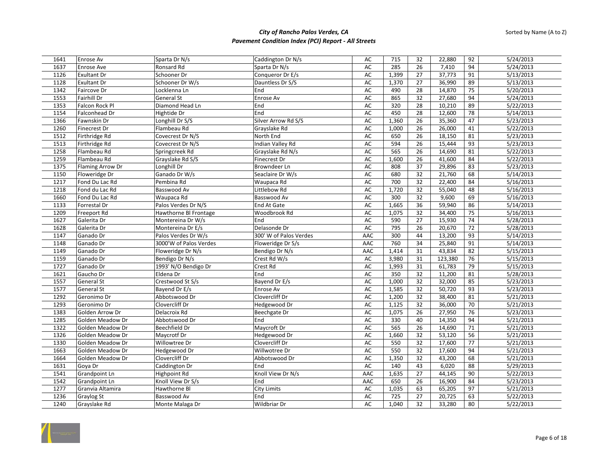| 1641         | <b>Enrose Av</b>               | Sparta Dr N/s                     | Caddington Dr N/s        | AC         | 715              | 32              | 22,880           | 92              | 5/24/2013              |
|--------------|--------------------------------|-----------------------------------|--------------------------|------------|------------------|-----------------|------------------|-----------------|------------------------|
| 1637         | Enrose Ave                     | Ronsard Rd                        | Sparta Dr N/s            | AC         | 285              | 26              | 7,410            | 94              | 5/24/2013              |
| 1126         | <b>Exultant Dr</b>             | Schooner Dr                       | Conqueror Dr E/s         | AC         | 1,399            | 27              | 37,773           | 91              | 5/13/2013              |
| 1128         | <b>Exultant Dr</b>             | Schooner Dr W/s                   | Dauntless Dr S/S         | AC         | 1,370            | 27              | 36,990           | 89              | 5/13/2013              |
| 1342         | Faircove Dr                    | Locklenna Ln                      | End                      | AC         | 490              | 28              | 14,870           | 75              | 5/20/2013              |
| 1553         | Fairhill Dr                    | General St                        | Enrose Av                | AC         | 865              | 32              | 27,680           | 94              | 5/24/2013              |
| 1353         | Falcon Rock Pl                 | Diamond Head Ln                   | End                      | AC         | $\overline{320}$ | 28              | 10,210           | 89              | 5/22/2013              |
| 1154         | Falconhead Dr                  | Hightide Dr                       | End                      | AC         | 450              | 28              | 12,600           | 78              | 5/14/2013              |
| 1366         | Fawnskin Dr                    | Longhill Dr S/S                   | Silver Arrow Rd S/S      | AC         | 1,360            | 26              | 35,360           | 47              | 5/23/2013              |
| 1260         | <b>Finecrest Dr</b>            | Flambeau Rd                       | Grayslake Rd             | AC         | 1,000            | 26              | 26,000           | 41              | 5/22/2013              |
| 1512         | Firthridge Rd                  | Covecrest Dr N/S                  | North End                | AC         | 650              | 26              | 18,150           | 81              | 5/23/2013              |
| 1513         | Firthridge Rd                  | Covecrest Dr N/S                  | Indian Valley Rd         | AC         | 594              | 26              | 15,444           | 93              | 5/23/2013              |
| 1258         | Flambeau Rd                    | Springcreek Rd                    | Grayslake Rd N/s         | AC         | 565              | 26              | 14,690           | 81              | 5/22/2013              |
| 1259         | Flambeau Rd                    | Grayslake Rd S/S                  | Finecrest Dr             | AC         | 1,600            | 26              | 41,600           | 84              | 5/22/2013              |
| 1375         | Flaming Arrow Dr               | Longhill Dr                       | Browndeer Ln             | AC         | 808              | 37              | 29,896           | 83              | 5/23/2013              |
| 1150         | Floweridge Dr                  | Ganado Dr W/s                     | Seaclaire Dr W/s         | AC         | 680              | $\overline{32}$ | 21,760           | 68              | 5/14/2013              |
| 1217         | Fond Du Lac Rd                 | Pembina Rd                        | Waupaca Rd               | AC         | 700              | 32              | 22,400           | 84              | 5/16/2013              |
| 1218         | Fond du Lac Rd                 | Basswood Av                       | Littlebow Rd             | AC         | 1,720            | 32              | 55,040           | 48              | 5/16/2013              |
| 1660         | Fond Du Lac Rd                 | Waupaca Rd                        | Basswood Av              | AC         | 300              | 32              | 9,600            | 69              | 5/16/2013              |
| 1133         | Forrestal Dr                   | Palos Verdes Dr N/S               | <b>End At Gate</b>       | AC         | 1,665            | 36              | 59,940           | 86              | 5/14/2013              |
| 1209         | Freeport Rd                    | Hawthorne BI Frontage             | Woodbrook Rd             | AC         | 1,075            | 32              | 34,400           | 75              | 5/16/2013              |
| 1627         | Galerita Dr                    | Montereina Dr W/s                 | End                      | AC         | 590              | 27              | 15,930           | 74              | 5/28/2013              |
| 1628         | Galerita Dr                    | Montereina Dr E/s                 | Delasonde Dr             | AC         | 795              | 26              | 20,670           | 72              | 5/28/2013              |
| 1147         | Ganado Dr                      | Palos Verdes Dr W/s               | 300' W of Palos Verdes   | AAC        | 300              | 44              | 13,200           | 93              | 5/14/2013              |
| 1148         | Ganado Dr                      | 3000'W of Palos Verdes            | Floweridge Dr S/s        | AAC        | 760              | 34              | 25,840           | 91              | 5/14/2013              |
| 1149         | Ganado Dr                      | Floweridge Dr N/s                 | Bendigo Dr N/s           | AAC        | 1,414            | 31              | 43,834           | 82              | 5/15/2013              |
| 1159         | Ganado Dr                      | Bendigo Dr N/s                    | Crest Rd W/s             | AC         | 3,980            | 31              | 123,380          | 76              | 5/15/2013              |
| 1727         | Ganado Dr                      | 1993' N/O Bendigo Dr              | Crest Rd                 | AC         | 1,993            | 31              | 61,783           | 79              | 5/15/2013              |
| 1621         | Gaucho Dr                      | Eldena Dr                         | End                      | AC         | 350              | 32              | 11,200           | 81              | 5/28/2013              |
| 1557         | <b>General St</b>              | Crestwood St S/s                  | Bayend Dr E/s            | AC         | 1,000            | 32              | 32,000           | 85              | 5/23/2013              |
| 1577         | <b>General St</b>              | Bayend Dr E/s                     | Enrose Av                | <b>AC</b>  | 1,585            | 32              | 50,720           | 93              | 5/23/2013              |
| 1292         | Geronimo Dr                    | Abbotswood Dr                     | Clovercliff Dr           | AC         | 1,200            | 32              | 38,400           | 81              | 5/21/2013              |
| 1293         | Geronimo Dr                    | Clovercliff Dr                    | Hedgewood Dr             | AC         | 1,125            | 32              | 36,000           | 70              | 5/21/2013              |
| 1383         | Golden Arrow Dr                | Delacroix Rd                      | Beechgate Dr             | AC         | 1,075            | 26              | 27,950           | 76              | 5/23/2013              |
| 1285         | Golden Meadow Dr               | Abbotswood Dr                     | End                      | AC         | 330              | 40              | 14,350           | 94              | 5/21/2013              |
| 1322         | Golden Meadow Dr               | Beechfield Dr                     | Maycroft Dr              | AC         | 565              | 26              | 14,690           | 71              | 5/21/2013              |
| 1326         | Golden Meadow Dr               | Maycrotf Dr                       | Hedgewood Dr             | AC         | 1,660            | 32              | 53,120           | 56              | 5/21/2013              |
| 1330         | Golden Meadow Dr               | Willowtree Dr                     | Clovercliff Dr           | AC         | 550              | 32              | 17,600           | $\overline{77}$ | 5/21/2013              |
| 1663         | Golden Meadow Dr               | Hedgewood Dr                      | Willwotree Dr            | AC         | 550              | 32              | 17,600           | 94              | 5/21/2013              |
| 1664         | Golden Meadow Dr               | Clovercliff Dr                    | Abbotswood Dr            | AC         | 1,350            | 32              | 43,200           | 68              | 5/21/2013              |
| 1631         | Goya Dr                        | Caddington Dr                     | End                      | AC         | 140              | 43              | 6,020            | 88              | 5/29/2013              |
|              |                                |                                   |                          |            |                  |                 |                  | 90              |                        |
| 1541<br>1542 | Grandpoint Ln<br>Grandpoint Ln | Highpoint Rd<br>Knoll View Dr S/s | Knoll View Dr N/s<br>End | AAC<br>AAC | 1,635<br>650     | 27<br>26        | 44,145<br>16,900 | 84              | 5/22/2013<br>5/23/2013 |
|              |                                |                                   | <b>City Limits</b>       |            |                  |                 |                  | 97              | 5/21/2013              |
| 1277         | Granvia Altamira               | Hawthorne Bl                      |                          | AC         | 1,035            | 63              | 65,205           |                 |                        |
| 1236         | Graylog St                     | Basswood Av                       | End                      | AC         | 725              | 27              | 20,725           | 63              | 5/22/2013              |
| 1240         | Grayslake Rd                   | Monte Malaga Dr                   | Wildbriar Dr             | AC         | 1,040            | 32              | 33,280           | 80              | 5/22/2013              |

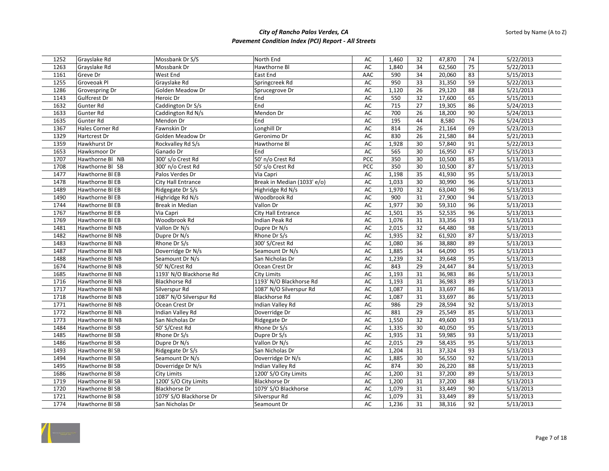| 1252 | Grayslake Rd    | Mossbank Dr S/S         | North End                   | AC        | 1,460           | 32 | 47,870 | 74 | 5/22/2013 |
|------|-----------------|-------------------------|-----------------------------|-----------|-----------------|----|--------|----|-----------|
| 1263 | Grayslake Rd    | Mossbank Dr             | Hawthorne Bl                | AC        | 1,840           | 34 | 62,560 | 75 | 5/22/2013 |
| 1161 | Greve Dr        | West End                | East End                    | AAC       | 590             | 34 | 20,060 | 83 | 5/15/2013 |
| 1255 | Groveoak Pl     | Grayslake Rd            | Springcreek Rd              | AC        | 950             | 33 | 31,350 | 59 | 5/22/2013 |
| 1286 | Grovespring Dr  | Golden Meadow Dr        | Sprucegrove Dr              | AC        | 1,120           | 26 | 29,120 | 88 | 5/21/2013 |
| 1143 | Gulfcrest Dr    | Heroic Dr               | End                         | <b>AC</b> | 550             | 32 | 17,600 | 65 | 5/15/2013 |
| 1632 | Gunter Rd       | Caddington Dr S/s       | End                         | AC        | $\frac{1}{715}$ | 27 | 19,305 | 86 | 5/24/2013 |
| 1633 | Gunter Rd       | Caddington Rd N/s       | Mendon Dr                   | AC        | 700             | 26 | 18,200 | 90 | 5/24/2013 |
| 1635 | Gunter Rd       | Mendon Dr               | End                         | <b>AC</b> | 195             | 44 | 8,580  | 76 | 5/24/2013 |
| 1367 | Hales Corner Rd | Fawnskin Dr             | Longhill Dr                 | AC        | 814             | 26 | 21,164 | 69 | 5/23/2013 |
| 1329 | Hartcrest Dr    | Golden Meadow Dr        | Geronimo Dr                 | AC        | 830             | 26 | 21,580 | 84 | 5/21/2013 |
| 1359 | Hawkhurst Dr    | Rockvalley Rd S/s       | Hawthorne Bl                | AC        | 1,928           | 30 | 57,840 | 91 | 5/22/2013 |
| 1653 | Hawksmoor Dr    | Ganado Dr               | End                         | AC        | 565             | 30 | 16,950 | 67 | 5/15/2013 |
| 1707 | Hawthorne Bl NB | 300' s/o Crest Rd       | 50' n/o Crest Rd            | PCC       | 350             | 30 | 10,500 | 85 | 5/13/2013 |
| 1708 | Hawthorne BI SB | 300' n/o Crest Rd       | 50' s/o Crest Rd            | PCC       | 350             | 30 | 10,500 | 87 | 5/13/2013 |
| 1477 | Hawthorne BI EB | Palos Verdes Dr         | Via Capri                   | AC        | 1,198           | 35 | 41,930 | 95 | 5/13/2013 |
| 1478 | Hawthorne BI EB | City Hall Entrance      | Break in Median (1033' e/o) | AC        | 1,033           | 30 | 30,990 | 96 | 5/13/2013 |
| 1489 | Hawthorne BI EB | Ridgegate Dr S/s        | Highridge Rd N/s            | AC        | 1,970           | 32 | 63,040 | 96 | 5/13/2013 |
| 1490 | Hawthorne BI EB | Highridge Rd N/s        | Woodbrook Rd                | AC        | 900             | 31 | 27,900 | 94 | 5/13/2013 |
| 1744 | Hawthorne BI EB | Break in Median         | Vallon Dr                   | AC        | 1,977           | 30 | 59,310 | 96 | 5/13/2013 |
| 1767 | Hawthorne BI EB | Via Capri               | <b>City Hall Entrance</b>   | AC        | 1,501           | 35 | 52,535 | 96 | 5/13/2013 |
| 1769 | Hawthorne BI EB | Woodbrook Rd            | Indian Peak Rd              | AC        | 1,076           | 31 | 33,356 | 93 | 5/13/2013 |
| 1481 | Hawthorne Bl NB | Vallon Dr N/s           | Dupre Dr N/s                | AC        | 2,015           | 32 | 64,480 | 98 | 5/13/2013 |
| 1482 | Hawthorne BI NB | Dupre Dr N/s            | Rhone Dr S/s                | AC        | 1,935           | 32 | 61,920 | 87 | 5/13/2013 |
| 1483 | Hawthorne BI NB | Rhone Dr S/s            | 300' S/Crest Rd             | AC        | 1,080           | 36 | 38,880 | 89 | 5/13/2013 |
| 1487 | Hawthorne BI NB | Doverridge Dr N/s       | Seamount Dr N/s             | AC        | 1,885           | 34 | 64,090 | 95 | 5/13/2013 |
| 1488 | Hawthorne BI NB | Seamount Dr N/s         | San Nicholas Dr             | AC        | 1,239           | 32 | 39,648 | 95 | 5/13/2013 |
| 1674 | Hawthorne BI NB | 50' N/Crest Rd          | Ocean Crest Dr              | AC        | 843             | 29 | 24,447 | 84 | 5/13/2013 |
| 1685 | Hawthorne BI NB | 1193' N/O Blackhorse Rd | <b>City Limits</b>          | AC        | 1,193           | 31 | 36,983 | 86 | 5/13/2013 |
| 1716 | Hawthorne BI NB | <b>Blackhorse Rd</b>    | 1193' N/O Blackhorse Rd     | <b>AC</b> | 1,193           | 31 | 36,983 | 89 | 5/13/2013 |
| 1717 | Hawthorne BI NB | Silverspur Rd           | 1087' N/O Silverspur Rd     | AC        | 1,087           | 31 | 33,697 | 86 | 5/13/2013 |
| 1718 | Hawthorne BI NB | 1087' N/O Silverspur Rd | <b>Blackhorse Rd</b>        | AC        | 1,087           | 31 | 33,697 | 86 | 5/13/2013 |
| 1771 | Hawthorne BI NB | Ocean Crest Dr          | Indian Valley Rd            | <b>AC</b> | 986             | 29 | 28,594 | 92 | 5/13/2013 |
| 1772 | Hawthorne Bl NB | Indian Valley Rd        | Doverridge Dr               | AC        | 881             | 29 | 25,549 | 85 | 5/13/2013 |
| 1773 | Hawthorne BI NB | San Nicholas Dr         | Ridgegate Dr                | AC        | 1,550           | 32 | 49,600 | 93 | 5/13/2013 |
| 1484 | Hawthorne BI SB | 50' S/Crest Rd          | Rhone Dr S/s                | AC        | 1,335           | 30 | 40,050 | 95 | 5/13/2013 |
| 1485 | Hawthorne BI SB | Rhone Dr S/s            | Dupre Dr S/s                | AC        | 1,935           | 31 | 59,985 | 93 | 5/13/2013 |
| 1486 | Hawthorne BI SB | Dupre Dr N/s            | Vallon Dr N/s               | AC        | 2,015           | 29 | 58,435 | 95 | 5/13/2013 |
| 1493 | Hawthorne BI SB | Ridgegate Dr S/s        | San Nicholas Dr             | AC        | 1,204           | 31 | 37,324 | 93 | 5/13/2013 |
| 1494 | Hawthorne BI SB | Seamount Dr N/s         | Doverridge Dr N/s           | AC        | 1,885           | 30 | 56,550 | 92 | 5/13/2013 |
| 1495 | Hawthorne BI SB | Doverridge Dr N/s       | Indian Valley Rd            | AC        | 874             | 30 | 26,220 | 88 | 5/13/2013 |
| 1686 | Hawthorne BI SB | City Limits             | 1200' S/O City Limits       | AC        | 1,200           | 31 | 37,200 | 89 | 5/13/2013 |
| 1719 | Hawthorne BI SB | 1200' S/O City Limits   | <b>Blackhorse Dr</b>        | AC        | 1,200           | 31 | 37,200 | 88 | 5/13/2013 |
| 1720 | Hawthorne BI SB | <b>Blackhorse Dr</b>    | 1079' S/O Blackhorse        | AC        | 1,079           | 31 | 33,449 | 90 | 5/13/2013 |
| 1721 | Hawthorne BI SB | 1079' S/O Blackhorse Dr | Silverspur Rd               | AC        | 1,079           | 31 | 33,449 | 89 | 5/13/2013 |
| 1774 | Hawthorne BI SB | San Nicholas Dr         | Seamount Dr                 | AC        | 1,236           | 31 | 38,316 | 92 | 5/13/2013 |

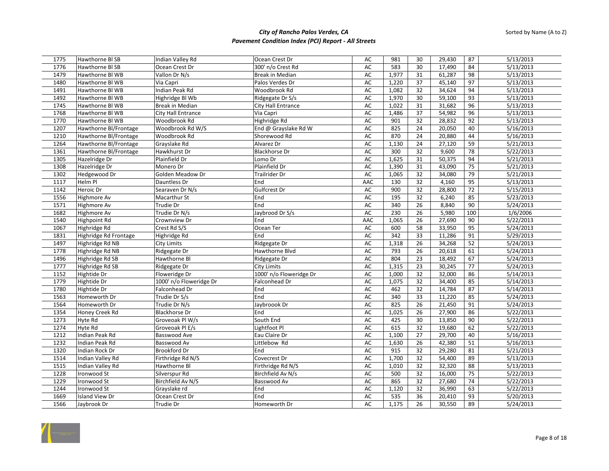| 1775 | Hawthorne BI SB       | Indian Valley Rd        | Ocean Crest Dr            | AC            | 981   | 30 | 29,430           | 87              | 5/13/2013 |
|------|-----------------------|-------------------------|---------------------------|---------------|-------|----|------------------|-----------------|-----------|
| 1776 | Hawthorne BI SB       | Ocean Crest Dr          | 300' n/o Crest Rd         | AC            | 583   | 30 | 17,490           | 84              | 5/13/2013 |
| 1479 | Hawthorne BI WB       | Vallon Dr N/s           | Break in Median           | AC            | 1,977 | 31 | 61,287           | 98              | 5/13/2013 |
| 1480 | Hawthorne BI WB       | Via Capri               | Palos Verdes Dr           | AC            | 1,220 | 37 | 45,140           | 97              | 5/13/2013 |
| 1491 | Hawthorne BI WB       | Indian Peak Rd          | Woodbrook Rd              | AC            | 1,082 | 32 | 34,624           | 94              | 5/13/2013 |
| 1492 | Hawthorne BI WB       | Highridge Bl Wb         | Ridgegate Dr S/s          | AC            | 1,970 | 30 | 59,100           | 93              | 5/13/2013 |
| 1745 | Hawthorne BI WB       | <b>Break in Median</b>  | <b>City Hall Entrance</b> | AC            | 1,022 | 31 | 31,682           | 96              | 5/13/2013 |
| 1768 | Hawthorne BI WB       | City Hall Entrance      | Via Capri                 | $\mathsf{AC}$ | 1,486 | 37 | 54,982           | 96              | 5/13/2013 |
| 1770 | Hawthorne BI WB       | Woodbrook Rd            | Highridge Rd              | $\mathsf{AC}$ | 901   | 32 | 28,832           | 92              | 5/13/2013 |
| 1207 | Hawthorne Bl/Frontage | Woodbrook Rd W/S        | End @ Grayslake Rd W      | AC            | 825   | 24 | 20,050           | 40              | 5/16/2013 |
| 1210 | Hawthorne Bl/Frontage | Woodbrook Rd            | Shorewood Rd              | AC            | 870   | 24 | 20,880           | 44              | 5/16/2013 |
| 1264 | Hawthorne Bl/Frontage | Grayslake Rd            | Alvarez Dr                | <b>AC</b>     | 1,130 | 24 | 27,120           | 59              | 5/21/2013 |
| 1361 | Hawthorne Bl/Frontage | Hawkhurst Dr            | <b>Blackhorse Dr</b>      | AC            | 300   | 32 | 9,600            | $\overline{78}$ | 5/22/2013 |
| 1305 | Hazelridge Dr         | Plainfield Dr           | Lomo Dr                   | AC            | 1,625 | 31 | 50,375           | 94              | 5/21/2013 |
| 1308 | Hazelridge Dr         | Monero Dr               | Plainfield Dr             | AC            | 1,390 | 31 | 43,090           | 75              | 5/21/2013 |
| 1302 | Hedgewood Dr          | Golden Meadow Dr        | Trailrider Dr             | AC            | 1,065 | 32 | 34,080           | 79              | 5/21/2013 |
| 1117 | Helm Pl               | Dauntless Dr            | End                       | AAC           | 130   | 32 | 4,160            | 95              | 5/13/2013 |
| 1142 | Heroic Dr             | Searaven Dr N/s         | Gulfcrest Dr              | AC            | 900   | 32 | 28,800           | $\overline{72}$ | 5/15/2013 |
| 1556 | Highmore Av           | Macarthur St            | End                       | AC            | 195   | 32 | 6,240            | 85              | 5/23/2013 |
| 1571 | Highmore Av           | Trudie Dr               | End                       | AC            | 340   | 26 | 8,840            | 90              | 5/24/2013 |
| 1682 | Highmore Av           | Trudie Dr N/s           | Jaybrood Dr S/s           | AC            | 230   | 26 | 5,980            | 100             | 1/6/2006  |
| 1540 | Highpoint Rd          | Crownview Dr            | End                       | AAC           | 1,065 | 26 | 27,690           | 90              | 5/22/2013 |
| 1067 | Highridge Rd          | Crest Rd S/S            | Ocean Ter                 | AC            | 600   | 58 | 33,950           | 95              | 5/24/2013 |
| 1831 | Highridge Rd Frontage | Highridge Rd            | End                       | AC            | 342   | 33 | 11,286           | 91              | 5/29/2013 |
| 1497 | Highridge Rd NB       | <b>City Limits</b>      | Ridgegate Dr              | $\mathsf{AC}$ | 1,318 | 26 | 34,268           | 52              | 5/24/2013 |
| 1778 | Highridge Rd NB       | Ridgegate Dr            | Hawthorne Blvd            | AC            | 793   | 26 | 20,618           | 61              | 5/24/2013 |
| 1496 | Highridge Rd SB       | Hawthorne Bl            | Ridgegate Dr              | AC            | 804   | 23 | 18,492           | 67              | 5/24/2013 |
| 1777 | Highridge Rd SB       | Ridgegate Dr            | City Limits               | AC            | 1,315 | 23 | 30,245           | 77              | 5/24/2013 |
| 1152 | Hightide Dr           | Floweridge Dr           | 1000' n/o Floweridge Dr   | AC            | 1,000 | 32 | 32,000           | 86              | 5/14/2013 |
| 1779 | Hightide Dr           | 1000' n/o Floweridge Dr | Falconhead Dr             | $\mathsf{AC}$ | 1,075 | 32 | 34,400           | 85              | 5/14/2013 |
| 1780 | Hightide Dr           | Falconhead Dr           | End                       | <b>AC</b>     | 462   | 32 | 14,784           | 87              | 5/14/2013 |
| 1563 | Homeworth Dr          | Trudie Dr S/s           | End                       | <b>AC</b>     | 340   | 33 | 11,220           | 85              | 5/24/2013 |
| 1564 | Homeworth Dr          | Trudie Dr N/s           | Jaybroook Dr              | AC            | 825   | 26 | 21,450           | 91              | 5/24/2013 |
| 1354 | Honey Creek Rd        | <b>Blackhorse Dr</b>    | End                       | AC            | 1,025 | 26 | 27,900           | 86              | 5/22/2013 |
| 1273 | Hyte Rd               | Groveoak Pl W/s         | South End                 | <b>AC</b>     | 425   | 30 | 13,850           | 90              | 5/22/2013 |
| 1274 | <b>Hyte Rd</b>        | Groveoak Pl E/s         | Lightfoot Pl              | AC            | 615   | 32 | 19,680           | 62              | 5/22/2013 |
| 1212 | Indian Peak Rd        | Basswood Ave            | Eau Claire Dr             | AC            | 1,100 | 27 | 29,700           | 40              | 5/16/2013 |
| 1232 | Indian Peak Rd        | Basswood Av             | Littlebow Rd              | $\mathsf{AC}$ | 1,630 | 26 | 42,380           | 51              | 5/16/2013 |
| 1320 | Indian Rock Dr        | <b>Brookford Dr</b>     | End                       | AC            | 915   | 32 | 29,280           | 81              | 5/21/2013 |
| 1514 | Indian Valley Rd      | Firthridge Rd N/S       | Covecrest Dr              | AC            | 1,700 | 32 | 54,400           | 89              | 5/13/2013 |
| 1515 | Indian Valley Rd      | Hawthorne Bl            | Firthridge Rd N/S         | AC            | 1,010 | 32 | 32,320           | 88              | 5/13/2013 |
| 1228 | Ironwood St           | Silverspur Rd           | Birchfield Av N/s         | $\mathsf{AC}$ | 500   | 32 | 16,000           | $\overline{75}$ | 5/22/2013 |
| 1229 | Ironwood St           | Birchfield Av N/S       | Basswood Av               | AC            | 865   | 32 | 27,680           | 74              | 5/22/2013 |
| 1244 | Ironwood St           | Grayslake rd            | End                       | <b>AC</b>     | 1,120 | 32 | 36,990           | 63              | 5/22/2013 |
| 1669 | Island View Dr        | Ocean Crest Dr          | End                       | AC            | 535   | 36 |                  | 93              |           |
| 1566 |                       |                         |                           | AC            | 1,175 | 26 | 20,410<br>30,550 | 89              | 5/20/2013 |
|      | Jaybrook Dr           | Trudie Dr               | Homeworth Dr              |               |       |    |                  |                 | 5/24/2013 |

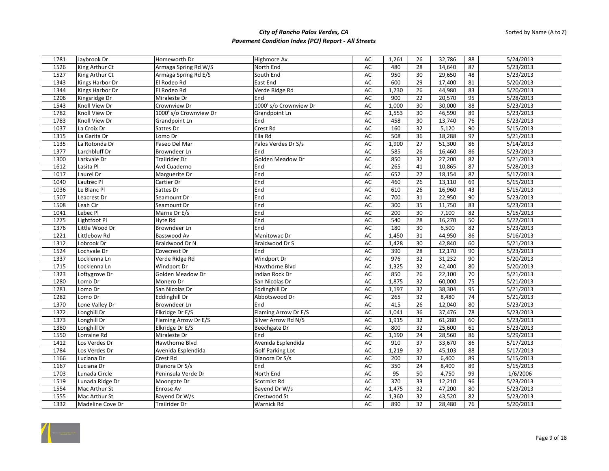| 1781         | Jaybrook Dr      | Homeworth Dr           | Highmore Av              | AC        | 1,261     | 26       | 32,786 | 88              | 5/24/2013 |
|--------------|------------------|------------------------|--------------------------|-----------|-----------|----------|--------|-----------------|-----------|
| 1526         | King Arthur Ct   | Armaga Spring Rd W/S   | North End                | AC        | 480       | 28       | 14,640 | 87              | 5/23/2013 |
| 1527         | King Arthur Ct   | Armaga Spring Rd E/S   | South End                | AC        | 950       | 30       | 29,650 | 48              | 5/23/2013 |
| 1343         | Kings Harbor Dr  | El Rodeo Rd            | East End                 | AC        | 600       | 29       | 17,400 | 81              | 5/20/2013 |
| 1344         | Kings Harbor Dr  | El Rodeo Rd            | Verde Ridge Rd           | AC        | 1,730     | 26       | 44,980 | 83              | 5/20/2013 |
| 1206         | Kingsridge Dr    | Miraleste Dr           | End                      | AC        | 900       | 22       | 20,570 | 95              | 5/28/2013 |
| 1543         | Knoll View Dr    | Crownview Dr           | 1000' s/o Crownview Dr   | AC        | 1,000     | 30       | 30,000 | 88              | 5/23/2013 |
| 1782         | Knoll View Dr    | 1000' s/o Crownview Dr | Grandpoint Ln            | AC        | 1,553     | 30       | 46,590 | 89              | 5/23/2013 |
| 1783         | Knoll View Dr    | Grandpoint Ln          | End                      | AC        | 458       | 30       | 13,740 | 76              | 5/23/2013 |
| 1037         | La Croix Dr      | Sattes Dr              | Crest Rd                 | AC        | 160       | 32       | 5,120  | 90              | 5/15/2013 |
| 1315         | La Garita Dr     | Lomo Dr                | Ella Rd                  | <b>AC</b> | 508       | 36       | 18,288 | 97              | 5/21/2013 |
| 1135         | La Rotonda Dr    | Paseo Del Mar          | Palos Verdes Dr S/s      | AC        | 1,900     | 27       | 51,300 | 86              | 5/14/2013 |
| 1377         | Larchbluff Dr    | Browndeer Ln           | End                      | <b>AC</b> | 585       | 26       | 16,460 | 86              | 5/23/2013 |
| 1300         | Larkvale Dr      | Trailrider Dr          | Golden Meadow Dr         | AC        | 850       | 32       | 27,200 | 82              | 5/21/2013 |
| 1612         | Lasita Pl        | Avd Cuaderno           | End                      | AC        | 265       | 41       | 10,865 | 87              | 5/28/2013 |
| 1017         | Laurel Dr        | Marguerite Dr          | End                      | AC        | 652       | 27       | 18,154 | 87              | 5/17/2013 |
| 1040         | Lautrec Pl       | Cartier Dr             | End                      | AC        | 460       | 26       | 13,110 | 69              | 5/15/2013 |
| 1036         | Le Blanc Pl      | Sattes Dr              | End                      | AC        | 610       | 26       | 16,960 | 43              | 5/15/2013 |
| 1507         | Leacrest Dr      | Seamount Dr            | End                      | AC        | 700       | 31       | 22,950 | 90              | 5/23/2013 |
| 1508         | Leah Cir         | Seamount Dr            | End                      | AC        | 300       | 35       | 11,750 | 83              | 5/23/2013 |
| 1041         | Lebec Pl         | Marne Dr E/s           | End                      | AC        | 200       | 30       | 7,100  | 82              | 5/15/2013 |
| 1275         | Lightfoot Pl     | Hyte Rd                | End                      | AC        | 540       | 28       | 16,270 | 50              | 5/22/2013 |
| 1376         | Little Wood Dr   | Browndeer Ln           | End                      | AC        | 180       | 30       | 6,500  | 82              | 5/23/2013 |
| 1221         | Littlebow Rd     | Basswood Av            | Manitowac Dr             | AC        | 1,450     | 31       | 44,950 | 86              | 5/16/2013 |
| 1312         | Lobrook Dr       | Braidwood Dr N         | Braidwood Dr S           | <b>AC</b> | 1,428     | 30       | 42,840 | 60              | 5/21/2013 |
| 1524         | Lochvale Dr      | Covecrest Dr           | End                      | AC        | 390       | 28       | 12,170 | 90              | 5/23/2013 |
| 1337         | Locklenna Ln     | Verde Ridge Rd         | Windport Dr              | AC        | 976       | 32       | 31,232 | 90              | 5/20/2013 |
| 1715         | Locklenna Ln     | Windport Dr            | Hawthorne Blvd           | AC        | 1,325     | 32       | 42,400 | 80              | 5/20/2013 |
| 1323         | Loftygrove Dr    | Golden Meadow Dr       | Indian Rock Dr           | AC        | 850       | 26       | 22,100 | 70              | 5/21/2013 |
| 1280         | Lomo Dr          | Monero Dr              | San Nicolas Dr           | AC        | 1,875     | 32       | 60,000 | $\overline{75}$ | 5/21/2013 |
| 1281         | Lomo Dr          | San Nicolas Dr         | Eddinghill Dr            | AC        | 1,197     | 32       | 38,304 | 95              | 5/21/2013 |
| 1282         | Lomo Dr          | Eddinghill Dr          | Abbotswood Dr            | AC        | 265       | 32       | 8,480  | 74              | 5/21/2013 |
| 1370         | Lone Valley Dr   | Browndeer Ln           | End                      | <b>AC</b> | 415       | 26       | 12,040 | 80              | 5/23/2013 |
| 1372         | Longhill Dr      | Elkridge Dr E/S        | Flaming Arrow Dr E/S     | AC        | 1,041     | 36       | 37,476 | $\overline{78}$ | 5/23/2013 |
| 1373         | Longhill Dr      | Flaming Arrow Dr E/S   | Silver Arrow Rd N/S      | AC        | 1,915     | 32       | 61,280 | 60              | 5/23/2013 |
| 1380         | Longhill Dr      | Elkridge Dr E/S        | Beechgate Dr             | <b>AC</b> | 800       | 32       | 25,600 | 61              | 5/23/2013 |
| 1550         | Lorraine Rd      | Miraleste Dr           | End                      | AC        | 1,190     | 24       | 28,560 | 86              | 5/29/2013 |
| 1412         | Los Verdes Dr    | Hawthorne Blvd         | Avenida Esplendida       | AC        | 910       | 37       | 33,670 | 86              | 5/17/2013 |
| 1784         | Los Verdes Dr    | Avenida Esplendida     | Golf Parking Lot         | AC        | 1,219     | 37       | 45,103 | 88              | 5/17/2013 |
| 1166         | Luciana Dr       | Crest Rd               | Dianora Dr S/s           | AC        | 200       | 32       | 6,400  | 89              | 5/15/2013 |
| 1167         | Luciana Dr       | Dianora Dr S/s         | End                      | AC        | 350       | 24       | 8,400  | 89              | 5/15/2013 |
|              |                  |                        |                          |           |           |          |        |                 |           |
| 1703<br>1519 | Lunada Circle    | Peninsula Verde Dr     | North End<br>Scotmist Rd | AC<br>AC  | 95<br>370 | 50<br>33 | 4,750  | 99<br>96        | 1/6/2006  |
|              | Lunada Ridge Dr  | Moongate Dr            |                          |           |           |          | 12,210 |                 | 5/23/2013 |
| 1554         | Mac Arthur St    | Enrose Av              | Bayend Dr W/s            | AC        | 1,475     | 32       | 47,200 | 80              | 5/23/2013 |
| 1555         | Mac Arthur St    | Bayend Dr W/s          | Crestwood St             | AC        | 1,360     | 32       | 43,520 | 82              | 5/23/2013 |
| 1332         | Madeline Cove Dr | Trailrider Dr          | Warnick Rd               | AC        | 890       | 32       | 28,480 | 76              | 5/20/2013 |

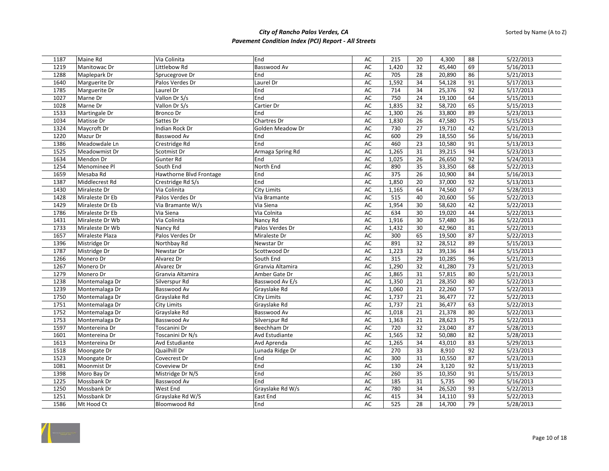| 1187         | Maine Rd        | Via Colinita                       | End                              | AC              | 215            | 20       | 4,300            | 88                    | 5/22/2013              |
|--------------|-----------------|------------------------------------|----------------------------------|-----------------|----------------|----------|------------------|-----------------------|------------------------|
| 1219         | Manitowac Dr    | Littlebow Rd                       | <b>Basswood Av</b>               | AC              | 1,420          | 32       | 45,440           | 69                    | 5/16/2013              |
| 1288         | Maplepark Dr    | Sprucegrove Dr                     | End                              | AC              | 705            | 28       | 20,890           | 86                    | 5/21/2013              |
| 1640         | Marguerite Dr   | Palos Verdes Dr                    | Laurel Dr                        | AC              | 1,592          | 34       | 54,128           | 91                    | 5/17/2013              |
| 1785         | Marguerite Dr   | Laurel Dr                          | End                              | AC              | 714            | 34       | 25,376           | 92                    | 5/17/2013              |
| 1027         | Marne Dr        | Vallon Dr S/s                      | End                              | AC              | 750            | 24       | 19,100           | 64                    | 5/15/2013              |
| 1028         | Marne Dr        | Vallon Dr S/s                      | Cartier Dr                       | AC              | 1,835          | 32       | 58,720           | 65                    | 5/15/2013              |
| 1533         | Martingale Dr   | <b>Bronco Dr</b>                   | End                              | AC              | 1,300          | 26       | 33,800           | 89                    | 5/23/2013              |
| 1034         | Matisse Dr      | Sattes Dr                          | Chartres Dr                      | AC              | 1,830          | 26       | 47,580           | 75                    | 5/15/2013              |
| 1324         | Maycroft Dr     | Indian Rock Dr                     | Golden Meadow Dr                 | AC              | 730            | 27       | 19,710           | 42                    | 5/21/2013              |
| 1220         | Mazur Dr        | Basswood Av                        | End                              | AC              | 600            | 29       | 18,550           | 56                    | 5/16/2013              |
| 1386         | Meadowdale Ln   | Crestridge Rd                      | End                              | AC              | 460            | 23       | 10,580           | 91                    | 5/13/2013              |
| 1525         | Meadowmist Dr   | Scotmist Dr                        | Armaga Spring Rd                 | AC              | 1,265          | 31       | 39,215           | 94                    | 5/23/2013              |
| 1634         | Mendon Dr       | Gunter Rd                          | End                              | AC              | 1,025          | 26       | 26,650           | 92                    | 5/24/2013              |
| 1254         | Menominee Pl    | South End                          | North End                        | AC              | 890            | 35       | 33,350           | 68                    | 5/22/2013              |
| 1659         | Mesaba Rd       | Hawthorne Blvd Frontage            | End                              | AC              | 375            | 26       | 10,900           | 84                    | 5/16/2013              |
| 1387         | Middlecrest Rd  | Crestridge Rd S/s                  | End                              | AC              | 1,850          | 20       | 37,000           | 92                    | 5/13/2013              |
| 1430         | Miraleste Dr    | Via Colinita                       | <b>City Limits</b>               | AC              | 1,165          | 64       | 74,560           | 67                    | 5/28/2013              |
| 1428         | Miraleste Dr Eb | Palos Verdes Dr                    | Via Bramante                     | AC              | 515            | 40       | 20,600           | 56                    | 5/22/2013              |
| 1429         | Miraleste Dr Eb | Via Bramante W/s                   | Via Siena                        | AC              | 1,954          | 30       | 58,620           | 42                    | 5/22/2013              |
| 1786         | Miraleste Dr Eb | Via Siena                          | Via Colnita                      | AC              | 634            | 30       | 19,020           | 44                    | 5/22/2013              |
| 1431         | Miraleste Dr Wb | Via Colinita                       | Nancy Rd                         | AC              | 1,916          | 30       | 57,480           | $\overline{36}$       | 5/22/2013              |
| 1733         | Miraleste Dr Wb | Nancy Rd                           | Palos Verdes Dr                  | AC              | 1,432          | 30       | 42,960           | 81                    | 5/22/2013              |
| 1657         | Miraleste Plaza | Palos Verdes Dr                    | Miraleste Dr                     | AC              | 300            | 65       | 19,500           | 87                    | 5/22/2013              |
| 1396         | Mistridge Dr    | Northbay Rd                        | Newstar Dr                       | AC              | 891            | 32       | 28,512           | 89                    | 5/15/2013              |
| 1787         | Mistridge Dr    | Newstar Dr                         | Scottwood Dr                     | AC              | 1,223          | 32       | 39,136           | 84                    | 5/15/2013              |
|              |                 | Alvarez Dr                         |                                  | AC              | 315            | 29       |                  | 96                    |                        |
| 1266         | Monero Dr       | Alvarez Dr                         | South End                        | AC              | 1,290          | 32       | 10,285           | $\overline{73}$       | 5/21/2013<br>5/21/2013 |
| 1267         | Monero Dr       |                                    | Granvia Altamira                 |                 |                | 31       | 41,280           |                       |                        |
| 1279         | Monero Dr       | Granvia Altamira<br>Silverspur Rd  | Amber Gate Dr<br>Basswood Av E/s | AC<br>AC        | 1,865          |          | 57,815           | 80<br>80              | 5/21/2013              |
| 1238<br>1239 | Montemalaga Dr  | Basswood Av                        |                                  | AC              | 1,350          | 21<br>21 | 28,350           | 57                    | 5/22/2013<br>5/22/2013 |
|              | Montemalaga Dr  |                                    | Grayslake Rd                     | <b>AC</b>       | 1,060          |          | 22,260           |                       |                        |
| 1750<br>1751 | Montemalaga Dr  | Grayslake Rd                       | City Limits                      | AC              | 1,737<br>1,737 | 21<br>21 | 36,477<br>36,477 | 72<br>63              | 5/22/2013              |
| 1752         | Montemalaga Dr  | <b>City Limits</b><br>Grayslake Rd | Grayslake Rd<br>Basswood Av      |                 |                |          |                  |                       | 5/22/2013              |
|              | Montemalaga Dr  |                                    |                                  | AC              | 1,018          | 21       | 21,378           | 80                    | 5/22/2013              |
| 1753         | Montemalaga Dr  | Basswood Av                        | Silverspur Rd<br>Beechham Dr     | <b>AC</b><br>AC | 1,363<br>720   | 21<br>32 | 28,623<br>23,040 | $\overline{75}$<br>87 | 5/22/2013              |
| 1597         | Montereina Dr   | Toscanini Dr                       |                                  |                 |                |          |                  |                       | 5/28/2013              |
| 1601         | Montereina Dr   | Toscanini Dr N/s                   | Avd Estudiante                   | AC              | 1,565          | 32       | 50,080           | 82                    | 5/28/2013              |
| 1613         | Montereina Dr   | Avd Estudiante<br>Quailhill Dr     | Avd Aprenda                      | AC              | 1,265          | 34       | 43,010           | 83                    | 5/29/2013              |
| 1518         | Moongate Dr     |                                    | Lunada Ridge Dr                  | AC              | 270            | 33       | 8.910            | 92                    | 5/23/2013              |
| 1523         | Moongate Dr     | Covecrest Dr                       | End                              | AC              | 300            | 31       | 10,550           | 87                    | 5/23/2013              |
| 1081         | Moonmist Dr     | Coveview Dr                        | End                              | AC              | 130            | 24       | 3,120            | 92                    | 5/13/2013              |
| 1398         | Moro Bay Dr     | Mistridge Dr N/S                   | End                              | AC              | 260            | 35       | 10,350           | 91                    | 5/15/2013              |
| 1225         | Mossbank Dr     | Basswood Av                        | End                              | AC              | 185            | 31       | 5,735            | 90                    | 5/16/2013              |
| 1250         | Mossbank Dr     | West End                           | Grayslake Rd W/s                 | <b>AC</b>       | 780            | 34       | 26,520           | 93                    | 5/22/2013              |
| 1251         | Mossbank Dr     | Grayslake Rd W/S                   | East End                         | AC              | 415            | 34       | 14,110           | 93                    | 5/22/2013              |
| 1586         | Mt Hood Ct      | Bloomwood Rd                       | End                              | AC              | 525            | 28       | 14,700           | 79                    | 5/28/2013              |

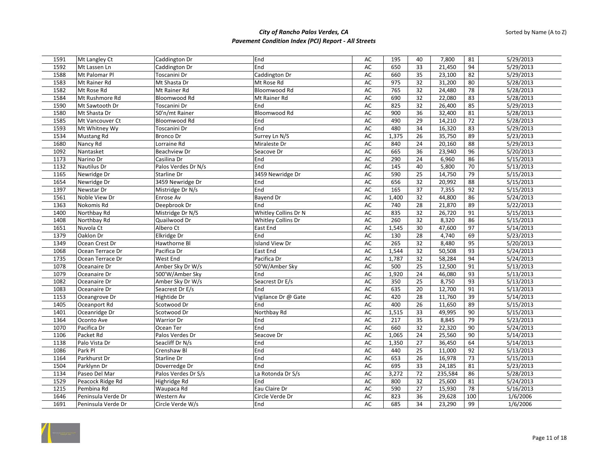| 1591         | Mt Langley Ct                      | Caddington Dr                 | End                               | AC              | 195          | 40              | 7,800           | 81              | 5/29/2013              |
|--------------|------------------------------------|-------------------------------|-----------------------------------|-----------------|--------------|-----------------|-----------------|-----------------|------------------------|
| 1592         | Mt Lassen Ln                       | Caddington Dr                 | End                               | AC              | 650          | 33              | 21,450          | 94              | 5/29/2013              |
| 1588         | Mt Palomar Pl                      | Toscanini Dr                  | Caddington Dr                     | AC              | 660          | 35              | 23,100          | 82              | 5/29/2013              |
| 1583         | Mt Rainer Rd                       | Mt Shasta Dr                  | Mt Rose Rd                        | AC              | 975          | 32              | 31,200          | 80              | 5/28/2013              |
| 1582         | Mt Rose Rd                         | Mt Rainer Rd                  | Bloomwood Rd                      | AC              | 765          | 32              | 24,480          | 78              | 5/28/2013              |
| 1584         | Mt Rushmore Rd                     | <b>Bloomwood Rd</b>           | Mt Rainer Rd                      | AC              | 690          | 32              | 22,080          | 83              | 5/28/2013              |
| 1590         | Mt Sawtooth Dr                     | Toscanini Dr                  | End                               | AC              | 825          | 32              | 26,400          | 85              | 5/29/2013              |
| 1580         | Mt Shasta Dr                       | 50'n/mt Rainer                | Bloomwood Rd                      | AC              | 900          | $\overline{36}$ | 32,400          | 81              | 5/28/2013              |
| 1585         | Mt Vancouver Ct                    | <b>Bloomwood Rd</b>           | End                               | AC              | 490          | 29              | 14,210          | $\overline{72}$ | 5/28/2013              |
| 1593         | Mt Whitney Wy                      | Toscanini Dr                  | End                               | AC              | 480          | 34              | 16,320          | 83              | 5/29/2013              |
| 1534         | <b>Mustang Rd</b>                  | <b>Bronco Dr</b>              | Surrey Ln N/S                     | AC              | 1,375        | 26              | 35,750          | 89              | 5/23/2013              |
| 1680         | Nancy Rd                           | Lorraine Rd                   | Miraleste Dr                      | AC              | 840          | 24              | 20,160          | 88              | 5/29/2013              |
| 1092         | Nantasket                          | <b>Beachview Dr</b>           | Seacove Dr                        | AC              | 665          | 36              | 23,940          | 96              | 5/20/2013              |
| 1173         | Narino Dr                          | Casilina Dr                   | End                               | AC              | 290          | $\overline{24}$ | 6,960           | 86              | 5/15/2013              |
| 1132         | <b>Nautilus Dr</b>                 | Palos Verdes Dr N/s           | End                               | AC              | 145          | 40              | 5,800           | 70              | 5/13/2013              |
| 1165         | Newridge Dr                        | Starline Dr                   | 3459 Newridge Dr                  | <b>AC</b>       | 590          | 25              | 14,750          | 79              | 5/15/2013              |
|              | Newridge Dr                        | 3459 Newridge Dr              |                                   | AC              | 656          | 32              | 20,992          | 88              | 5/15/2013              |
| 1654<br>1397 | Newstar Dr                         |                               | End<br>End                        | AC              | 165          | 37              | 7,355           |                 | 5/15/2013              |
| 1561         | Noble View Dr                      | Mistridge Dr N/s<br>Enrose Av | <b>Bayend Dr</b>                  | AC              | 1,400        | 32              | 44,800          | 92<br>86        | 5/24/2013              |
|              |                                    |                               | End                               |                 | 740          |                 |                 | 89              |                        |
| 1363         | Nokomis Rd                         | Deepbrook Dr                  |                                   | AC              | 835          | 28<br>32        | 21,870          | 91              | 5/22/2013              |
| 1400         | Northbay Rd                        | Mistridge Dr N/S              | Whitley Collins Dr N              | AC              | 260          |                 | 26,720          | 86              | 5/15/2013              |
| 1408         | Northbay Rd                        | Quailwood Dr                  | Whitley Collins Dr                | AC              |              | 32              | 8,320           | 97              | 5/15/2013              |
| 1651         | Nuvola Ct<br>Oaklon Dr             | Albero Ct                     | East End<br>End                   | AC              | 1,545<br>130 | 30<br>28        | 47,600          | 69              | 5/14/2013              |
| 1379         |                                    | Elkridge Dr                   |                                   | AC              |              |                 | 4,740           | 95              | 5/23/2013              |
| 1349<br>1068 | Ocean Crest Dr<br>Ocean Terrace Dr | Hawthorne Bl<br>Pacifica Dr   | Island View Dr<br><b>East End</b> | <b>AC</b><br>AC | 265<br>1,544 | 32<br>32        | 8,480<br>50,508 | 93              | 5/20/2013<br>5/24/2013 |
|              |                                    |                               |                                   |                 |              |                 |                 |                 |                        |
| 1735         | Ocean Terrace Dr                   | West End                      | Pacifica Dr                       | AC              | 1,787        | 32              | 58,284          | 94              | 5/24/2013              |
| 1078         | Oceanaire Dr                       | Amber Sky Dr W/s              | 50'W/Amber Sky                    | AC              | 500          | 25              | 12,500          | 91              | 5/13/2013              |
| 1079         | Oceanaire Dr                       | 500'W/Amber Sky               | End                               | AC              | 1,920        | 24              | 46,080          | 93              | 5/13/2013              |
| 1082         | Oceanaire Dr                       | Amber Sky Dr W/s              | Seacrest Dr E/s                   | AC              | 350          | 25              | 8,750           | 93              | 5/13/2013              |
| 1083         | Oceanaire Dr                       | Seacrest Dr E/s               | End                               | AC              | 635          | $\overline{20}$ | 12,700          | 91              | 5/13/2013              |
| 1153         | Oceangrove Dr                      | Hightide Dr                   | Vigilance Dr @ Gate               | AC              | 420          | 28              | 11,760          | 39              | 5/14/2013              |
| 1405         | Oceanport Rd                       | Scotwood Dr                   | End                               | <b>AC</b>       | 400          | $\overline{26}$ | 11,650          | 89              | 5/15/2013              |
| 1401         | Oceanridge Dr                      | Scotwood Dr                   | Northbay Rd                       | AC              | 1,515        | 33              | 49,995          | 90              | 5/15/2013              |
| 1364         | Oconto Ave                         | Warrior Dr                    | End                               | AC              | 217          | 35              | 8,845           | 79              | 5/23/2013              |
| 1070         | Pacifica Dr                        | Ocean Ter                     | End                               | AC              | 660          | 32              | 22,320          | 90              | 5/24/2013              |
| 1106         | Packet Rd                          | Palos Verdes Dr               | Seacove Dr                        | AC              | 1,065        | 24              | 25,560          | 90              | 5/14/2013              |
| 1138         | Palo Vista Dr                      | Seacliff Dr N/s               | End                               | AC              | 1,350        | 27              | 36,450          | 64              | 5/14/2013              |
| 1086         | Park Pl                            | Crenshaw Bl                   | End                               | <b>AC</b>       | 440          | $\overline{25}$ | 11,000          | 92              | 5/13/2013              |
| 1164         | Parkhurst Dr                       | <b>Starline Dr</b>            | End                               | AC              | 653          | 26              | 16,978          | 73              | 5/15/2013              |
| 1504         | Parklynn Dr                        | Doverredge Dr                 | End                               | AC              | 695          | 33              | 24,185          | 81              | 5/23/2013              |
| 1134         | Paseo Del Mar                      | Palos Verdes Dr S/s           | La Rotonda Dr S/s                 | AC              | 3,272        | $\overline{72}$ | 235,584         | 86              | 5/28/2013              |
| 1529         | Peacock Ridge Rd                   | Highridge Rd                  | End                               | AC              | 800          | 32              | 25,600          | 81              | 5/24/2013              |
| 1215         | Pembina Rd                         | Waupaca Rd                    | Eau Claire Dr                     | AC              | 590          | 27              | 15,930          | 78              | 5/16/2013              |
| 1646         | Peninsula Verde Dr                 | Western Av                    | Circle Verde Dr                   | AC              | 823          | 36              | 29,628          | 100             | 1/6/2006               |
| 1691         | Peninsula Verde Dr                 | Circle Verde W/s              | End                               | AC              | 685          | 34              | 23,290          | 99              | 1/6/2006               |

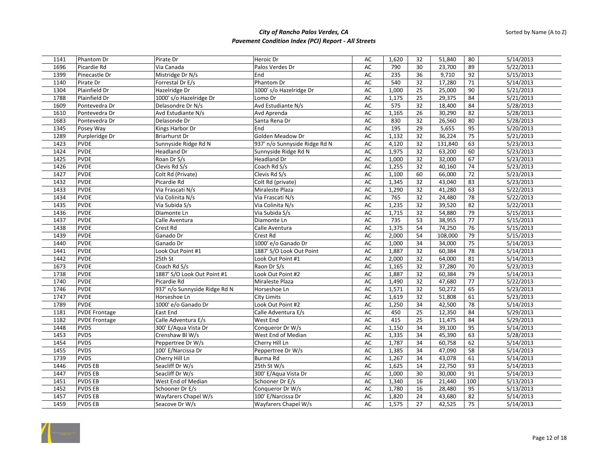| 1141 | Phantom Dr           | Pirate Dr                     | Heroic Dr                     | AC        | 1,620 | 32              | 51,840  | 80              | $\overline{5/14/2013}$ |
|------|----------------------|-------------------------------|-------------------------------|-----------|-------|-----------------|---------|-----------------|------------------------|
| 1696 | Picardie Rd          | Via Canada                    | Palos Verdes Dr               | AC        | 790   | 30              | 23,700  | 89              | 5/22/2013              |
| 1399 | Pinecastle Dr        | Mistridge Dr N/s              | End                           | AC        | 235   | 36              | 9,710   | 92              | 5/15/2013              |
| 1140 | Pirate Dr            | Forrestal Dr E/s              | Phantom Dr                    | AC        | 540   | 32              | 17,280  | 71              | 5/14/2013              |
| 1304 | Plainfield Dr        | Hazelridge Dr                 | 1000' s/o Hazelridge Dr       | AC        | 1,000 | 25              | 25,000  | 90              | 5/21/2013              |
| 1788 | Plainfield Dr        | 1000' s/o Hazelridge Dr       | Lomo Dr                       | <b>AC</b> | 1,175 | 25              | 29,375  | 84              | 5/21/2013              |
| 1609 | Pontevedra Dr        | Delasondre Dr N/s             | Avd Estudiante N/s            | <b>AC</b> | 575   | 32              | 18,400  | 84              | 5/28/2013              |
| 1610 | Pontevedra Dr        | Avd Estudiante N/s            | Avd Aprenda                   | AC        | 1,165 | $\overline{26}$ | 30,290  | 82              | 5/28/2013              |
| 1683 | Pontevedra Dr        | Delasonde Dr                  | Santa Rena Dr                 | <b>AC</b> | 830   | 32              | 26,560  | 80              | 5/28/2013              |
| 1345 | Posey Way            | Kings Harbor Dr               | End                           | AC        | 195   | 29              | 5,655   | 95              | 5/20/2013              |
| 1289 | Purpleridge Dr       | <b>Briarhurst Dr</b>          | Golden Meadow Dr              | AC        | 1,132 | 32              | 36,224  | 75              | 5/21/2013              |
| 1423 | <b>PVDE</b>          | Sunnyside Ridge Rd N          | 937' n/o Sunnyside Ridge Rd N | AC        | 4,120 | 32              | 131,840 | 63              | 5/23/2013              |
| 1424 | <b>PVDE</b>          | <b>Headland Dr</b>            | Sunnyside Ridge Rd N          | AC        | 1,975 | 32              | 63,200  | 60              | 5/23/2013              |
| 1425 | <b>PVDE</b>          | Roan Dr S/s                   | <b>Headland Dr</b>            | <b>AC</b> | 1,000 | 32              | 32,000  | 67              | 5/23/2013              |
| 1426 | <b>PVDE</b>          | Clevis Rd S/s                 | Coach Rd S/s                  | AC        | 1,255 | 32              | 40,160  | 74              | 5/23/2013              |
| 1427 | <b>PVDE</b>          | Colt Rd (Private)             | Clevis Rd S/s                 | AC        | 1,100 | 60              | 66,000  | 72              | 5/23/2013              |
| 1432 | <b>PVDE</b>          | Picardie Rd                   | Colt Rd (private)             | <b>AC</b> | 1,345 | 32              | 43,040  | 83              | 5/23/2013              |
| 1433 | <b>PVDE</b>          | Via Frascati N/s              | Miraleste Plaza               | AC        | 1,290 | 32              | 41,280  | 63              | 5/22/2013              |
| 1434 | <b>PVDE</b>          | Via Colinita N/s              | Via Frascati N/s              | AC        | 765   | 32              | 24,480  | 78              | 5/22/2013              |
| 1435 | <b>PVDE</b>          | Via Subida S/s                | Via Colinita N/s              | AC        | 1,235 | 32              | 39,520  | 82              | 5/22/2013              |
| 1436 | <b>PVDE</b>          | Diamonte Ln                   | Via Subida S/s                | AC        | 1,715 | 32              | 54,880  | 79              | 5/15/2013              |
| 1437 | <b>PVDE</b>          | Calle Aventura                | Diamonte Ln                   | AC        | 735   | 53              | 38,955  | 77              | 5/15/2013              |
| 1438 | <b>PVDE</b>          | Crest Rd                      | Calle Aventura                | AC        | 1,375 | 54              | 74,250  | 76              | 5/15/2013              |
| 1439 | <b>PVDE</b>          | Ganado Dr                     | Crest Rd                      | AC        | 2,000 | 54              | 108,000 | 79              | 5/15/2013              |
| 1440 | <b>PVDE</b>          | Ganado Dr                     | 1000' e/o Ganado Dr           | AC        | 1,000 | 34              | 34,000  | 75              | 5/14/2013              |
| 1441 | <b>PVDE</b>          | Look Out Point #1             | 1887' S/O Look Out Point      | AC        | 1,887 | 32              | 60,384  | $\overline{78}$ | 5/14/2013              |
| 1442 | <b>PVDE</b>          | 25th St                       | Look Out Point #1             | <b>AC</b> | 2,000 | 32              | 64,000  | 81              | 5/14/2013              |
| 1673 | <b>PVDE</b>          | Coach Rd S/s                  | Raon Dr S/s                   | AC        | 1,165 | 32              | 37,280  | 70              | 5/23/2013              |
| 1738 | <b>PVDE</b>          | 1887' S/O Look Out Point #1   | Look Out Point #2             | AC        | 1,887 | $\overline{32}$ | 60,384  | 79              | 5/14/2013              |
| 1740 | <b>PVDE</b>          | Picardie Rd                   | Miraleste Plaza               | AC        | 1,490 | 32              | 47,680  | $\overline{77}$ | 5/22/2013              |
| 1746 | <b>PVDE</b>          | 937' n/o Sunnyside Ridge Rd N | Horseshoe Ln                  | AC        | 1,571 | 32              | 50,272  | 65              | 5/23/2013              |
| 1747 | <b>PVDE</b>          | Horseshoe Ln                  | City Limits                   | AC        | 1,619 | 32              | 51,808  | 61              | 5/23/2013              |
| 1789 | <b>PVDE</b>          | 1000' e/o Ganado Dr           | Look Out Point #2             | AC        | 1,250 | 34              | 42,500  | 78              | 5/14/2013              |
| 1181 | <b>PVDE Frontage</b> | East End                      | Calle Adventura E/s           | AC        | 450   | 25              | 12,350  | 84              | 5/29/2013              |
| 1182 | <b>PVDE Frontage</b> | Calle Adventura E/s           | West End                      | <b>AC</b> | 415   | 25              | 11,475  | 84              | 5/29/2013              |
| 1448 | <b>PVDS</b>          | 300' E/Aqua Vista Dr          | Conqueror Dr W/s              | AC        | 1,150 | 34              | 39,100  | 95              | 5/14/2013              |
| 1453 | <b>PVDS</b>          | Crenshaw Bl W/s               | West End of Median            | AC        | 1,335 | 34              | 45,390  | 63              | 5/28/2013              |
| 1454 | <b>PVDS</b>          | Peppertree Dr W/s             | Cherry Hill Ln                | AC        | 1,787 | 34              | 60,758  | 62              | 5/14/2013              |
| 1455 | <b>PVDS</b>          | 100' E/Narcissa Dr            | Peppertree Dr W/s             | AC        | 1,385 | 34              | 47,090  | 58              | 5/14/2013              |
| 1739 | <b>PVDS</b>          | Cherry Hill Ln                | Burma Rd                      | AC        | 1,267 | 34              | 43,078  | 61              | 5/14/2013              |
| 1446 | <b>PVDS EB</b>       | Seacliff Dr W/s               | 25th St W/s                   | AC        | 1,625 | 14              | 22,750  | 93              | 5/14/2013              |
| 1447 | <b>PVDS EB</b>       | Seacliff Dr W/s               | 300' E/Aqua Vista Dr          | AC        | 1,000 | 30              | 30,000  | 91              | 5/14/2013              |
| 1451 | <b>PVDSEB</b>        | West End of Median            | Schooner Dr E/s               | AC        | 1,340 | 16              | 21,440  | 100             | 5/13/2013              |
| 1452 | <b>PVDS EB</b>       | Schooner Dr E/s               | Conqueror Dr W/s              | AC        | 1,780 | 16              | 28,480  | 95              | 5/13/2013              |
| 1457 | <b>PVDSEB</b>        | Wayfarers Chapel W/s          | 100' E/Narcissa Dr            | AC        | 1,820 | 24              | 43,680  | 82              | 5/14/2013              |
| 1459 | <b>PVDSEB</b>        | Seacove Dr W/s                | Wayfarers Chapel W/s          | AC        | 1,575 | 27              | 42,525  | 75              | 5/14/2013              |

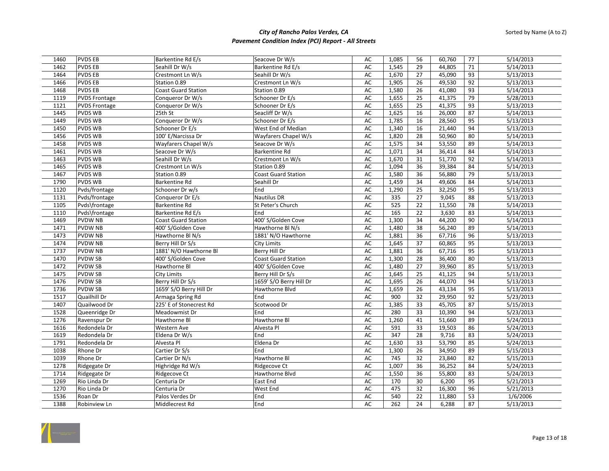| 1460 | <b>PVDS EB</b>       | Barkentine Rd E/s          | Seacove Dr W/s             | AC        | 1,085 | 56              | 60,760 | 77 | 5/14/2013 |
|------|----------------------|----------------------------|----------------------------|-----------|-------|-----------------|--------|----|-----------|
| 1462 | <b>PVDS EB</b>       | Seahill Dr W/s             | Barkentine Rd E/s          | AC        | 1,545 | 29              | 44,805 | 71 | 5/14/2013 |
| 1464 | <b>PVDS EB</b>       | Crestmont Ln W/s           | Seahill Dr W/s             | AC        | 1,670 | 27              | 45,090 | 93 | 5/13/2013 |
| 1466 | <b>PVDS EB</b>       | Station 0.89               | Crestmont Ln W/s           | AC        | 1,905 | 26              | 49,530 | 92 | 5/13/2013 |
| 1468 | <b>PVDS EB</b>       | Coast Guard Station        | Station 0.89               | AC        | 1,580 | 26              | 41,080 | 93 | 5/14/2013 |
| 1119 | <b>PVDS Frontage</b> | Conqueror Dr W/s           | Schooner Dr E/s            | <b>AC</b> | 1,655 | 25              | 41,375 | 79 | 5/28/2013 |
| 1121 | <b>PVDS Frontage</b> | Conqueror Dr W/s           | Schooner Dr E/s            | AC        | 1,655 | $\overline{25}$ | 41,375 | 93 | 5/13/2013 |
| 1445 | <b>PVDS WB</b>       | 25th St                    | Seacliff Dr W/s            | AC        | 1,625 | 16              | 26,000 | 87 | 5/14/2013 |
| 1449 | <b>PVDS WB</b>       | Conqueror Dr W/s           | Schooner Dr E/s            | AC        | 1,785 | 16              | 28,560 | 95 | 5/13/2013 |
| 1450 | <b>PVDS WB</b>       | Schooner Dr E/s            | West End of Median         | AC        | 1,340 | 16              | 21,440 | 94 | 5/13/2013 |
| 1456 | <b>PVDS WB</b>       | 100' E/Narcissa Dr         | Wayfarers Chapel W/s       | AC        | 1,820 | 28              | 50,960 | 80 | 5/14/2013 |
| 1458 | <b>PVDS WB</b>       | Wayfarers Chapel W/s       | Seacove Dr W/s             | AC        | 1,575 | 34              | 53,550 | 89 | 5/14/2013 |
| 1461 | <b>PVDS WB</b>       | Seacove Dr W/s             | <b>Barkentine Rd</b>       | AC        | 1,071 | 34              | 36,414 | 84 | 5/14/2013 |
| 1463 | <b>PVDS WB</b>       | Seahill Dr W/s             | Crestmont Ln W/s           | AC        | 1,670 | 31              | 51,770 | 92 | 5/14/2013 |
| 1465 | PVDS WB              | Crestmont Ln W/s           | Station 0.89               | AC        | 1,094 | 36              | 39,384 | 84 | 5/14/2013 |
| 1467 | <b>PVDS WB</b>       | Station 0.89               | <b>Coast Guard Station</b> | AC        | 1,580 | 36              | 56,880 | 79 | 5/13/2013 |
| 1790 | <b>PVDS WB</b>       | Barkentine Rd              | Seahill Dr                 | AC        | 1,459 | 34              | 49,606 | 84 | 5/14/2013 |
| 1120 | Pvds/frontage        | Schooner Dr w/s            | End                        | AC        | 1,290 | 25              | 32,250 | 95 | 5/13/2013 |
| 1131 | Pvds/frontage        | Conqueror Dr E/s           | <b>Nautilus DR</b>         | AC        | 335   | 27              | 9,045  | 88 | 5/13/2013 |
| 1105 | Pvds\frontage        | Barkentine Rd              | St Peter's Church          | AC        | 525   | 22              | 11,550 | 78 | 5/14/2013 |
| 1110 | Pvds\frontage        | Barkentine Rd E/s          | End                        | AC        | 165   | 22              | 3,630  | 83 | 5/14/2013 |
| 1469 | <b>PVDW NB</b>       | <b>Coast Guard Station</b> | 400' S/Golden Cove         | AC        | 1,300 | 34              | 44,200 | 90 | 5/14/2013 |
| 1471 | <b>PVDW NB</b>       | 400' S/Golden Cove         | Hawthorne Bl N/s           | <b>AC</b> | 1,480 | 38              | 56,240 | 89 | 5/14/2013 |
| 1473 | <b>PVDW NB</b>       | Hawthorne Bl N/s           | 1881' N/O Hawthorne        | AC        | 1,881 | 36              | 67,716 | 96 | 5/13/2013 |
| 1474 | <b>PVDW NB</b>       | Berry Hill Dr S/s          | <b>City Limits</b>         | AC        | 1,645 | 37              | 60,865 | 95 | 5/13/2013 |
| 1737 | <b>PVDW NB</b>       | 1881' N/O Hawthorne Bl     | Berry Hill Dr              | AC        | 1,881 | 36              | 67,716 | 95 | 5/13/2013 |
| 1470 | <b>PVDWSB</b>        | 400' S/Golden Cove         | <b>Coast Guard Station</b> | AC        | 1,300 | 28              | 36,400 | 80 | 5/13/2013 |
| 1472 | <b>PVDWSB</b>        | Hawthorne Bl               | 400' S/Golden Cove         | AC        | 1,480 | 27              | 39,960 | 85 | 5/13/2013 |
| 1475 | <b>PVDW SB</b>       | <b>City Limits</b>         | Berry Hill Dr S/s          | AC        | 1,645 | 25              | 41,125 | 94 | 5/13/2013 |
| 1476 | <b>PVDW SB</b>       | Berry Hill Dr S/s          | 1659' S/O Berry Hill Dr    | AC        | 1,695 | 26              | 44,070 | 94 | 5/13/2013 |
| 1736 | <b>PVDWSB</b>        | 1659' S/O Berry Hill Dr    | Hawthorne Blvd             | AC        | 1,659 | 26              | 43,134 | 95 | 5/13/2013 |
| 1517 | Quailhill Dr         | Armaga Spring Rd           | End                        | AC        | 900   | 32              | 29,950 | 92 | 5/23/2013 |
| 1407 | Quailwood Dr         | 225' E of Stonecrest Rd    | Scotwood Dr                | AC        | 1,385 | 33              | 45,705 | 87 | 5/15/2013 |
| 1528 | Queenridge Dr        | Meadowmist Dr              | End                        | AC        | 280   | 33              | 10,390 | 94 | 5/23/2013 |
| 1276 | Ravenspur Dr         | Hawthorne Bl               | Hawthorne Bl               | <b>AC</b> | 1,260 | 41              | 51,660 | 89 | 5/24/2013 |
| 1616 | Redondela Dr         | Western Ave                | Alvesta Pl                 | AC        | 591   | 33              | 19,503 | 86 | 5/24/2013 |
| 1619 | Redondela Dr         | Eldena Dr W/s              | End                        | AC        | 347   | 28              | 9,716  | 83 | 5/24/2013 |
| 1791 | Redondela Dr         | Alvesta Pl                 | Eldena Dr                  | AC        | 1,630 | 33              | 53,790 | 85 | 5/24/2013 |
| 1038 | Rhone Dr             | Cartier Dr S/s             | End                        | AC        | 1,300 | 26              | 34,950 | 89 | 5/15/2013 |
| 1039 | Rhone Dr             | Cartier Dr N/s             | Hawthorne Bl               | AC        | 745   | 32              | 23,840 | 82 | 5/15/2013 |
| 1278 | Ridgegate Dr         | Highridge Rd W/s           | Ridgecove Ct               | AC        | 1,007 | 36              | 36,252 | 84 | 5/24/2013 |
| 1714 | Ridgegate Dr         | Ridgecove Ct               | Hawthorne Blvd             | AC        | 1,550 | 36              | 55,800 | 83 | 5/24/2013 |
| 1269 | Rio Linda Dr         | Centuria Dr                | East End                   | AC        | 170   | 30              | 6,200  | 95 | 5/21/2013 |
| 1270 | Rio Linda Dr         | Centuria Dr                | West End                   | AC        | 475   | 32              | 16,300 | 96 | 5/21/2013 |
| 1536 | Roan Dr              | Palos Verdes Dr            | End                        | AC        | 540   | 22              | 11,880 | 53 | 1/6/2006  |
| 1388 | Robinview Ln         | Middlecrest Rd             | End                        | AC        | 262   | 24              | 6,288  | 87 | 5/13/2013 |

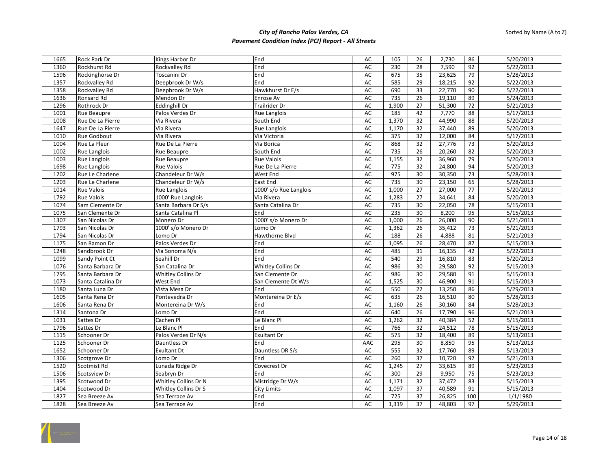| 1665 | <b>Rock Park Dr</b> | Kings Harbor Dr      | End                    | AC        | 105   | 26              | 2,730  | 86              | 5/20/2013 |
|------|---------------------|----------------------|------------------------|-----------|-------|-----------------|--------|-----------------|-----------|
| 1360 | Rockhurst Rd        | Rockvalley Rd        | End                    | AC        | 230   | 28              | 7,590  | 92              | 5/22/2013 |
| 1596 | Rockinghorse Dr     | Toscanini Dr         | End                    | AC        | 675   | 35              | 23,625 | 79              | 5/28/2013 |
| 1357 | Rockvalley Rd       | Deepbrook Dr W/s     | End                    | AC        | 585   | 29              | 18,215 | 92              | 5/22/2013 |
| 1358 | Rockvalley Rd       | Deepbrook Dr W/s     | Hawkhurst Dr E/s       | AC        | 690   | 33              | 22,770 | 90              | 5/22/2013 |
| 1636 | Ronsard Rd          | Mendon Dr            | Enrose Av              | AC        | 735   | 26              | 19,110 | 89              | 5/24/2013 |
| 1296 | Rothrock Dr         | Eddinghill Dr        | <b>Trailrider Dr</b>   | AC        | 1,900 | $\overline{27}$ | 51,300 | $\overline{72}$ | 5/21/2013 |
| 1001 | Rue Beaupre         | Palos Verdes Dr      | <b>Rue Langlois</b>    | <b>AC</b> | 185   | 42              | 7,770  | 88              | 5/17/2013 |
| 1008 | Rue De La Pierre    | Via Rivera           | South End              | AC        | 1,370 | 32              | 44,990 | 88              | 5/20/2013 |
| 1647 | Rue De La Pierre    | Via Rivera           | <b>Rue Langlois</b>    | AC        | 1,170 | 32              | 37,440 | 89              | 5/20/2013 |
| 1010 | <b>Rue Godbout</b>  | Via Rivera           | Via Victoria           | AC        | 375   | 32              | 12,000 | 84              | 5/17/2013 |
| 1004 | Rue La Fleur        | Rue De La Pierre     | Via Borica             | AC        | 868   | 32              | 27,776 | $\overline{73}$ | 5/20/2013 |
| 1002 | <b>Rue Langlois</b> | Rue Beaupre          | South End              | AC        | 735   | 26              | 20,260 | 82              | 5/20/2013 |
| 1003 | <b>Rue Langlois</b> | <b>Rue Beaupre</b>   | <b>Rue Valois</b>      | AC        | 1,155 | 32              | 36,960 | 79              | 5/20/2013 |
| 1698 | Rue Langlois        | <b>Rue Valois</b>    | Rue De La Pierre       | AC        | 775   | 32              | 24,800 | 94              | 5/20/2013 |
| 1202 | Rue Le Charlene     | Chandeleur Dr W/s    | West End               | AC        | 975   | 30              | 30,350 | 73              | 5/28/2013 |
| 1203 | Rue Le Charlene     | Chandeleur Dr W/s    | East End               | AC        | 735   | 30              | 23,150 | 65              | 5/28/2013 |
| 1014 | <b>Rue Valois</b>   | <b>Rue Langlois</b>  | 1000' s/o Rue Langlois | AC        | 1,000 | 27              | 27,000 | $77$            | 5/20/2013 |
| 1792 | <b>Rue Valois</b>   | 1000' Rue Langlois   | Via Rivera             | AC        | 1,283 | 27              | 34,641 | 84              | 5/20/2013 |
| 1074 | Sam Clemente Dr     | Santa Barbara Dr S/s | Santa Catalina Dr      | AC        | 735   | 30              | 22,050 | 78              | 5/15/2013 |
| 1075 | San Clemente Dr     | Santa Catalina Pl    | End                    | AC        | 235   | 30              | 8,200  | 95              | 5/15/2013 |
| 1307 | San Nicolas Dr      | Monero Dr            | 1000' s/o Monero Dr    | AC        | 1,000 | 26              | 26,000 | 90              | 5/21/2013 |
| 1793 | San Nicolas Dr      | 1000' s/o Monero Dr  | Lomo Dr                | AC        | 1,362 | 26              | 35,412 | $\overline{73}$ | 5/21/2013 |
| 1794 | San Nicolas Dr      | Lomo Dr              | Hawthorne Blvd         | AC        | 188   | 26              | 4,888  | 81              | 5/21/2013 |
| 1175 | San Ramon Dr        | Palos Verdes Dr      | End                    | AC        | 1,095 | 26              | 28,470 | 87              | 5/15/2013 |
| 1248 | Sandbrook Dr        | Via Sonoma N/s       | End                    | AC        | 485   | 31              | 16,135 | 42              | 5/22/2013 |
| 1099 | Sandy Point Ct      | Seahill Dr           | End                    | <b>AC</b> | 540   | $\overline{29}$ | 16,810 | 83              | 5/20/2013 |
| 1076 | Santa Barbara Dr    | San Catalina Dr      | Whitley Collins Dr     | AC        | 986   | 30              | 29,580 | 92              | 5/15/2013 |
| 1795 | Santa Barbara Dr    | Whitley Collins Dr   | San Clemente Dr        | AC        | 986   | 30              | 29,580 | 91              | 5/15/2013 |
| 1073 | Santa Catalina Dr   | West End             | San Clemente Dt W/s    | AC        | 1,525 | 30              | 46,900 | 91              | 5/15/2013 |
| 1180 | Santa Luna Dr       | Vista Mesa Dr        | End                    | AC        | 550   | 22              | 13,250 | 86              | 5/29/2013 |
| 1605 | Santa Rena Dr       | Pontevedra Dr        | Montereina Dr E/s      | AC        | 635   | 26              | 16,510 | 80              | 5/28/2013 |
| 1606 | Santa Rena Dr       | Montereina Dr W/s    | End                    | AC        | 1,160 | $\overline{26}$ | 30,160 | 84              | 5/28/2013 |
| 1314 | Santona Dr          | Lomo Dr              | End                    | AC        | 640   | 26              | 17,790 | 96              | 5/21/2013 |
| 1031 | Sattes Dr           | Cachen Pl            | Le Blanc Pl            | <b>AC</b> | 1,262 | 32              | 40,384 | 52              | 5/15/2013 |
| 1796 | Sattes Dr           | Le Blanc Pl          | End                    | AC        | 766   | 32              | 24,512 | 78              | 5/15/2013 |
| 1115 | Schooner Dr         | Palos Verdes Dr N/s  | <b>Exultant Dr</b>     | AC        | 575   | 32              | 18,400 | 89              | 5/13/2013 |
| 1125 | Schooner Dr         | Dauntless Dr         | End                    | AAC       | 295   | 30              | 8,850  | 95              | 5/13/2013 |
| 1652 | Schooner Dr         | <b>Exultant Dt</b>   | Dauntless DR S/s       | AC        | 555   | 32              | 17,760 | 89              | 5/13/2013 |
| 1306 | Scotgrove Dr        | Lomo Dr              | End                    | AC        | 260   | 37              | 10,720 | 97              | 5/21/2013 |
| 1520 | Scotmist Rd         | Lunada Ridge Dr      | Covecrest Dr           | AC        | 1,245 | 27              | 33,615 | 89              | 5/23/2013 |
| 1506 | Scotsview Dr        | Seabryn Dr           | End                    | AC        | 300   | 29              | 9,950  | $\overline{75}$ | 5/23/2013 |
| 1395 | Scotwood Dr         | Whitley Collins Dr N | Mistridge Dr W/s       | AC        | 1,171 | 32              | 37,472 | 83              | 5/15/2013 |
| 1404 | Scotwood Dr         | Whitley Collins Dr S | <b>City Limits</b>     | AC        | 1,097 | 37              | 40,589 | 91              | 5/15/2013 |
| 1827 | Sea Breeze Av       | Sea Terrace Av       | End                    | AC        | 725   | 37              | 26,825 | 100             | 1/1/1980  |
| 1828 | Sea Breeze Av       | Sea Terrace Av       | End                    | AC        | 1,319 | 37              | 48,803 | 97              | 5/29/2013 |

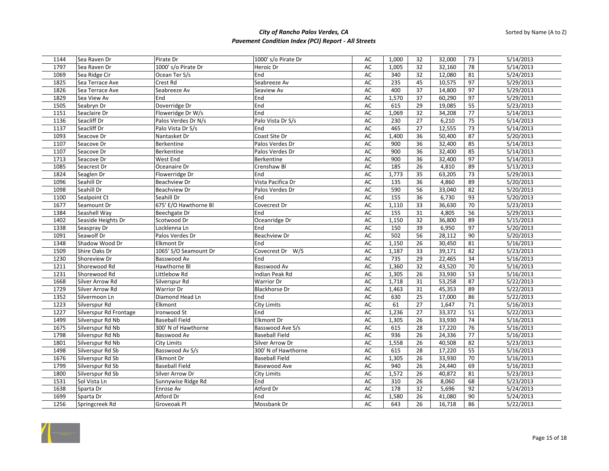| 1144 | Sea Raven Dr           | Pirate Dr             | 1000' s/o Pirate Dr   | AC        | 1,000 | 32              | 32,000 | 73              | 5/14/2013 |
|------|------------------------|-----------------------|-----------------------|-----------|-------|-----------------|--------|-----------------|-----------|
| 1797 | Sea Raven Dr           | 1000' s/o Pirate Dr   | Heroic Dr             | AC        | 1,005 | 32              | 32,160 | 78              | 5/14/2013 |
| 1069 | Sea Ridge Cir          | Ocean Ter S/s         | End                   | AC        | 340   | 32              | 12,080 | 81              | 5/24/2013 |
| 1825 | Sea Terrace Ave        | Crest Rd              | Seabreeze Av          | AC        | 235   | 45              | 10,575 | 97              | 5/29/2013 |
| 1826 | Sea Terrace Ave        | Seabreeze Av          | Seaview Av            | AC        | 400   | 37              | 14,800 | 97              | 5/29/2013 |
| 1829 | Sea View Av            | End                   | End                   | AC        | 1,570 | 37              | 60,290 | 97              | 5/29/2013 |
| 1505 | Seabryn Dr             | Doverridge Dr         | End                   | AC        | 615   | 29              | 19,085 | 55              | 5/23/2013 |
| 1151 | Seaclaire Dr           | Floweridge Dr W/s     | End                   | AC        | 1,069 | $\overline{32}$ | 34,208 | $\overline{77}$ | 5/14/2013 |
| 1136 | Seacliff Dr            | Palos Verdes Dr N/s   | Palo Vista Dr S/s     | AC        | 230   | 27              | 6,210  | $\overline{75}$ | 5/14/2013 |
| 1137 | Seacliff Dr            | Palo Vista Dr S/s     | End                   | AC        | 465   | 27              | 12,555 | 73              | 5/14/2013 |
| 1093 | Seacove Dr             | Nantasket Dr          | Coast Site Dr         | AC        | 1,400 | 36              | 50,400 | 87              | 5/20/2013 |
| 1107 | Seacove Dr             | Berkentine            | Palos Verdes Dr       | AC        | 900   | 36              | 32,400 | 85              | 5/14/2013 |
| 1107 | Seacove Dr             | Berkentine            | Palos Verdes Dr       | AC        | 900   | 36              | 32,400 | 85              | 5/14/2013 |
| 1713 | Seacove Dr             | West End              | Berkentine            | AC        | 900   | 36              | 32,400 | 97              | 5/14/2013 |
| 1085 | Seacrest Dr            | Oceanaire Dr          | Crenshaw Bl           | AC        | 185   | 26              | 4,810  | 89              | 5/13/2013 |
| 1824 | Seaglen Dr             | Flowerridge Dr        | End                   | AC        | 1,773 | 35              | 63,205 | $\overline{73}$ | 5/29/2013 |
| 1096 | Seahill Dr             | Beachview Dr          | Vista Pacifica Dr     | AC        | 135   | 36              | 4,860  | 89              | 5/20/2013 |
| 1098 | Seahill Dr             | Beachview Dr          | Palos Verdes Dr       | AC        | 590   | 56              | 33,040 | 82              | 5/20/2013 |
| 1100 | Sealpoint Ct           | Seahill Dr            | End                   | AC        | 155   | 36              | 6,730  | 93              | 5/20/2013 |
| 1677 | Seamount Dr            | 675' E/O Hawthorne Bl | Covecrest Dr          | AC        | 1,110 | 33              | 36,630 | 70              | 5/23/2013 |
| 1384 | Seashell Way           | Beechgate Dr          | End                   | AC        | 155   | 31              | 4,805  | 56              | 5/29/2013 |
| 1402 | Seaside Heights Dr     | Scotwood Dr           | Oceanridge Dr         | AC        | 1,150 | 32              | 36,800 | 89              | 5/15/2013 |
| 1338 | Seaspray Dr            | Locklenna Ln          | End                   | AC        | 150   | 39              | 6,950  | 97              | 5/20/2013 |
| 1091 | Seawolf Dr             | Palos Verdes Dr       | <b>Beachview Dr</b>   | AC        | 502   | 56              | 28,112 | 90              | 5/20/2013 |
| 1348 | Shadow Wood Dr         | <b>Elkmont Dr</b>     | End                   | AC        | 1,150 | 26              | 30,450 | 81              | 5/16/2013 |
| 1509 | Shire Oaks Dr          | 1065' S/O Seamount Dr | Covecrest Dr W/S      | AC        | 1,187 | 33              | 39,171 | 82              | 5/23/2013 |
| 1230 | Shoreview Dr           | Basswood Av           | End                   | AC        | 735   | 29              | 22,465 | 34              | 5/16/2013 |
| 1211 | Shorewood Rd           | Hawthorne Bl          | <b>Basswood Av</b>    | AC        | 1,360 | 32              | 43,520 | 70              | 5/16/2013 |
| 1231 | Shorewood Rd           | Littlebow Rd          | Indian Peak Rd        | AC        | 1,305 | 26              | 33,930 | 53              | 5/16/2013 |
| 1668 | Silver Arrow Rd        | Silverspur Rd         | <b>Warrior Dr</b>     | AC        | 1,718 | 31              | 53,258 | 87              | 5/22/2013 |
| 1729 | Silver Arrow Rd        | Warrior Dr            | <b>Blackhorse Dr</b>  | AC        | 1,463 | 31              | 45,353 | 89              | 5/22/2013 |
| 1352 | Silvermoon Ln          | Diamond Head Ln       | End                   | AC        | 630   | 25              | 17,000 | 86              | 5/22/2013 |
| 1223 | Silverspur Rd          | Elkmont               | <b>City Limits</b>    | AC        | 61    | $\overline{27}$ | 1,647  | 71              | 5/16/2013 |
| 1227 | Silverspur Rd Frontage | Ironwood St           | End                   | AC        | 1,236 | 27              | 33,372 | 51              | 5/22/2013 |
| 1499 | Silverspur Rd Nb       | <b>Baseball Field</b> | <b>Elkmont Dr</b>     | AC        | 1,305 | 26              | 33,930 | 74              | 5/16/2013 |
| 1675 | Silverspur Rd Nb       | 300' N of Hawthorne   | Basswood Ave S/s      | AC        | 615   | 28              | 17,220 | 76              | 5/16/2013 |
| 1798 | Silverspur Rd Nb       | Basswood Av           | <b>Baseball Field</b> | AC        | 936   | 26              | 24,336 | $\overline{77}$ | 5/16/2013 |
| 1801 | Silverspur Rd Nb       | City Limits           | Silver Arrow Dr       | AC        | 1,558 | 26              | 40,508 | 82              | 5/23/2013 |
| 1498 | Silverspur Rd Sb       | Basswood Av S/s       | 300' N of Hawthorne   | <b>AC</b> | 615   | 28              | 17,220 | 55              | 5/16/2013 |
| 1676 | Silverspur Rd Sb       | <b>Elkmont Dr</b>     | <b>Baseball Field</b> | AC        | 1,305 | 26              | 33,930 | 70              | 5/16/2013 |
| 1799 | Silverspur Rd Sb       | <b>Baseball Field</b> | Basewood Ave          | AC        | 940   | 26              | 24,440 | 69              | 5/16/2013 |
| 1800 | Silverspur Rd Sb       | Silver Arrow Dr       | <b>City Limits</b>    | AC        | 1,572 | 26              | 40,872 | 81              | 5/23/2013 |
| 1531 | Sol Vista Ln           | Sunnywise Ridge Rd    | End                   | AC        | 310   | 26              | 8,060  | 68              | 5/23/2013 |
| 1638 | Sparta Dr              | Enrose Av             | Atford Dr             | AC        | 178   | 32              | 5,696  | 92              | 5/24/2013 |
| 1699 | Sparta Dr              | Atford Dr             | End                   | AC        | 1,580 | 26              | 41,080 | 90              | 5/24/2013 |
| 1256 | Springcreek Rd         | Groveoak Pl           | Mossbank Dr           | AC        | 643   | 26              | 16,718 | 86              | 5/22/2013 |

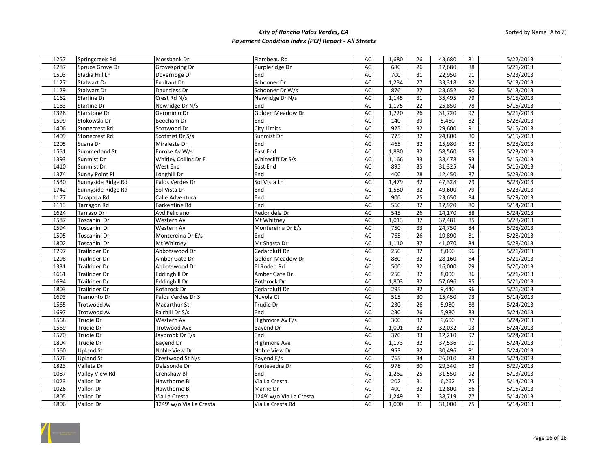| 1257 | Springcreek Rd       | Mossbank Dr             | Flambeau Rd             | AC        | 1,680 | 26              | 43,680 | 81              | 5/22/2013 |
|------|----------------------|-------------------------|-------------------------|-----------|-------|-----------------|--------|-----------------|-----------|
| 1287 | Spruce Grove Dr      | Grovespring Dr          | Purpleridge Dr          | AC        | 680   | 26              | 17,680 | 88              | 5/21/2013 |
| 1503 | Stadia Hill Ln       | Doverridge Dr           | End                     | AC        | 700   | 31              | 22,950 | 91              | 5/23/2013 |
| 1127 | Stalwart Dr          | <b>Exultant Dt</b>      | Schooner Dr             | AC        | 1,234 | 27              | 33,318 | 92              | 5/13/2013 |
| 1129 | Stalwart Dr          | Dauntless Dr            | Schooner Dr W/s         | AC        | 876   | 27              | 23,652 | 90              | 5/13/2013 |
| 1162 | Starline Dr          | Crest Rd N/s            | Newridge Dr N/s         | AC        | 1,145 | 31              | 35,495 | 79              | 5/15/2013 |
| 1163 | Starline Dr          | Newridge Dr N/s         | End                     | AC        | 1,175 | 22              | 25,850 | $\overline{78}$ | 5/15/2013 |
| 1328 | Starstone Dr         | Geronimo Dr             | Golden Meadow Dr        | <b>AC</b> | 1,220 | $\overline{26}$ | 31,720 | 92              | 5/21/2013 |
| 1599 | Stokowski Dr         | Beecham Dr              | End                     | <b>AC</b> | 140   | 39              | 5,460  | 82              | 5/28/2013 |
| 1406 | Stonecrest Rd        | Scotwood Dr             | <b>City Limits</b>      | AC        | 925   | 32              | 29,600 | 91              | 5/15/2013 |
| 1409 | Stonecrest Rd        | Scotmist Dr S/s         | Sunmist Dr              | <b>AC</b> | 775   | 32              | 24,800 | 80              | 5/15/2013 |
| 1205 | Suana Dr             | Miraleste Dr            | End                     | AC        | 465   | 32              | 15,980 | 82              | 5/28/2013 |
| 1551 | Summerland St        | Enrose Av W/s           | East End                | AC        | 1,830 | 32              | 58,560 | 85              | 5/23/2013 |
| 1393 | Sunmist Dr           | Whitley Collins Dr E    | Whitecliff Dr S/s       | AC        | 1,166 | 33              | 38,478 | 93              | 5/15/2013 |
| 1410 | Sunmist Dr           | West End                | East End                | AC        | 895   | 35              | 31,325 | $\overline{74}$ | 5/15/2013 |
| 1374 | Sunny Point Pl       | Longhill Dr             | End                     | AC        | 400   | 28              | 12,450 | 87              | 5/23/2013 |
| 1530 | Sunnyside Ridge Rd   | Palos Verdes Dr         | Sol Vista Ln            | <b>AC</b> | 1,479 | 32              | 47,328 | 79              | 5/23/2013 |
| 1742 | Sunnyside Ridge Rd   | Sol Vista Ln            | End                     | AC        | 1,550 | 32              | 49,600 | 79              | 5/23/2013 |
| 1177 | Tarapaca Rd          | Calle Adventura         | End                     | AC        | 900   | 25              | 23,650 | 84              | 5/29/2013 |
| 1113 | Tarragon Rd          | <b>Barkentine Rd</b>    | End                     | AC        | 560   | 32              | 17,920 | 80              | 5/14/2013 |
| 1624 | Tarraso Dr           | Avd Feliciano           | Redondela Dr            | AC        | 545   | 26              | 14,170 | 88              | 5/24/2013 |
| 1587 | Toscanini Dr         | Western Av              | Mt Whitney              | AC        | 1,013 | 37              | 37,481 | 85              | 5/28/2013 |
| 1594 | Toscanini Dr         | Western Av              | Montereina Dr E/s       | AC        | 750   | 33              | 24,750 | 84              | 5/28/2013 |
| 1595 | Toscanini Dr         | Montereina Dr E/s       | End                     | AC        | 765   | 26              | 19,890 | 81              | 5/28/2013 |
| 1802 | Toscanini Dr         | Mt Whitney              | Mt Shasta Dr            | AC        | 1,110 | 37              | 41,070 | 84              | 5/28/2013 |
| 1297 | Trailrider Dr        | Abbotswood Dr           | Cedarbluff Dr           | AC        | 250   | 32              | 8,000  | 96              | 5/21/2013 |
| 1298 | Trailrider Dr        | Amber Gate Dr           | Golden Meadow Dr        | AC        | 880   | 32              | 28,160 | 84              | 5/21/2013 |
| 1331 | <b>Trailrider Dr</b> | Abbotswood Dr           | El Rodeo Rd             | AC        | 500   | 32              | 16,000 | 79              | 5/20/2013 |
| 1661 | Trailrider Dr        | <b>Eddinghill Dr</b>    | Amber Gate Dr           | AC        | 250   | $\overline{32}$ | 8,000  | 86              | 5/21/2013 |
| 1694 | Trailrider Dr        | <b>Eddinghill Dr</b>    | Rothrock Dr             | <b>AC</b> | 1,803 | $\overline{32}$ | 57,696 | 95              | 5/21/2013 |
| 1803 | Trailrider Dr        | Rothrock Dr             | Cedarbluff Dr           | AC        | 295   | 32              | 9,440  | 96              | 5/21/2013 |
| 1693 | Tramonto Dr          | Palos Verdes Dr S       | Nuvola Ct               | <b>AC</b> | 515   | 30              | 15,450 | 93              | 5/14/2013 |
| 1565 | Trotwood Av          | Macarthur St            | Trudie Dr               | AC        | 230   | $\overline{26}$ | 5,980  | 88              | 5/24/2013 |
| 1697 | Trotwood Av          | Fairhill Dr S/s         | End                     | AC        | 230   | 26              | 5,980  | 83              | 5/24/2013 |
| 1568 | <b>Trudie Dr</b>     | Western Av              | Highmore Av E/s         | <b>AC</b> | 300   | 32              | 9,600  | 87              | 5/24/2013 |
| 1569 | Trudie Dr            | Trotwood Ave            | Bayend Dr               | AC        | 1,001 | 32              | 32,032 | 93              | 5/24/2013 |
| 1570 | Trudie Dr            | Jaybrook Dr E/s         | End                     | AC        | 370   | 33              | 12,210 | 92              | 5/24/2013 |
| 1804 | <b>Trudie Dr</b>     | Bayend Dr               | Highmore Ave            | <b>AC</b> | 1,173 | 32              | 37,536 | 91              | 5/24/2013 |
| 1560 | Upland St            | Noble View Dr           | Noble View Dr           | AC        | 953   | 32              | 30,496 | 81              | 5/24/2013 |
| 1576 | <b>Upland St</b>     | Crestwood St N/s        | Bayend E/s              | AC        | 765   | 34              | 26,010 | 83              | 5/24/2013 |
| 1823 | Valleta Dr           | Delasonde Dr            | Pontevedra Dr           | AC        | 978   | 30              | 29,340 | 69              | 5/29/2013 |
| 1087 | Valley View Rd       | Crenshaw Bl             | End                     | AC        | 1,262 | 25              | 31,550 | 92              | 5/13/2013 |
| 1023 | Vallon Dr            | Hawthorne Bl            | Via La Cresta           | AC        | 202   | 31              | 6,262  | 75              | 5/14/2013 |
| 1026 | Vallon Dr            | Hawthorne Bl            | Marne Dr                | AC        | 400   | 32              | 12,800 | 86              | 5/15/2013 |
| 1805 | Vallon Dr            | Via La Cresta           | 1249' w/o Via La Cresta | AC        | 1,249 | 31              | 38,719 | 77              | 5/14/2013 |
| 1806 | Vallon Dr            | 1249' w/o Via La Cresta | Via La Cresta Rd        | AC        | 1,000 | 31              | 31,000 | 75              | 5/14/2013 |

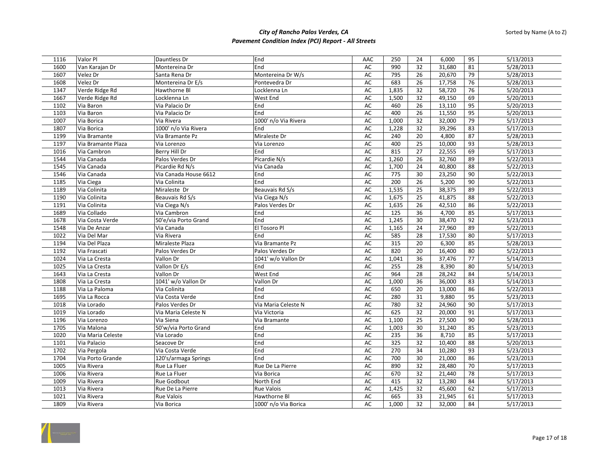| 1116 | Valor Pl           | Dauntless Dr          | End                  | AAC       | 250   | 24              | 6,000               | 95 | 5/13/2013 |
|------|--------------------|-----------------------|----------------------|-----------|-------|-----------------|---------------------|----|-----------|
| 1600 | Van Karajan Dr     | Montereina Dr         | End                  | AC        | 990   | 32              | 31,680              | 81 | 5/28/2013 |
| 1607 | Velez Dr           | Santa Rena Dr         | Montereina Dr W/s    | AC        | 795   | 26              | 20,670              | 79 | 5/28/2013 |
| 1608 | Velez Dr           | Montereina Dr E/s     | Pontevedra Dr        | AC        | 683   | 26              | 17,758              | 76 | 5/28/2013 |
| 1347 | Verde Ridge Rd     | Hawthorne Bl          | Locklenna Ln         | AC        | 1,835 | 32              | 58,720              | 76 | 5/20/2013 |
| 1667 | Verde Ridge Rd     | Locklenna Ln          | West End             | AC        | 1,500 | 32              | 49,150              | 69 | 5/20/2013 |
| 1102 | Via Baron          | Via Palacio Dr        | End                  | <b>AC</b> | 460   | $\overline{26}$ | 13,110              | 95 | 5/20/2013 |
| 1103 | Via Baron          | Via Palacio Dr        | End                  | AC        | 400   | 26              | 11,550              | 95 | 5/20/2013 |
| 1007 | Via Borica         | Via Rivera            | 1000' n/o Via Rivera | AC        | 1,000 | 32              | 32,000              | 79 | 5/17/2013 |
| 1807 | Via Borica         | 1000' n/o Via Rivera  | End                  | AC        | 1,228 | 32              | 39,296              | 83 | 5/17/2013 |
| 1199 | Via Bramante       | Via Bramante Pz       | Miraleste Dr         | AC        | 240   | 20              | 4,800               | 87 | 5/28/2013 |
| 1197 | Via Bramante Plaza | Via Lorenzo           | Via Lorenzo          | AC        | 400   | 25              | 10,000              | 93 | 5/28/2013 |
| 1016 | Via Cambron        | Berry Hill Dr         | End                  | AC        | 815   | 27              | 22,555              | 69 | 5/17/2013 |
| 1544 | Via Canada         | Palos Verdes Dr       | Picardie N/s         | AC        | 1,260 | 26              | 32,760              | 89 | 5/22/2013 |
| 1545 | Via Canada         | Picardie Rd N/s       | Via Canada           | AC        | 1,700 | 24              | 40,800              | 88 | 5/22/2013 |
| 1546 | Via Canada         | Via Canada House 6612 | End                  | AC        | 775   | 30              | 23,250              | 90 | 5/22/2013 |
| 1185 | Via Ciega          | Via Colinita          | End                  | AC        | 200   | 26              | 5,200               | 90 | 5/22/2013 |
| 1189 | Via Colinita       | Miraleste Dr          | Beauvais Rd S/s      | AC        | 1,535 | 25              | 38,375              | 89 | 5/22/2013 |
| 1190 | Via Colinita       | Beauvais Rd S/s       | Via Ciega N/s        | AC        | 1,675 | 25              | 41,875              | 88 | 5/22/2013 |
| 1191 | Via Colinita       | Via Ciega N/s         | Palos Verdes Dr      | AC        | 1,635 | 26              | 42,510              | 86 | 5/22/2013 |
| 1689 | Via Collado        | Via Cambron           | End                  | AC        | 125   | 36              | 4,700               | 85 | 5/17/2013 |
| 1678 | Via Costa Verde    | 50'e/via Porto Grand  | End                  | AC        | 1,245 | 30              | 38,470              | 92 | 5/23/2013 |
| 1548 | Via De Anzar       | Via Canada            | El Tosoro Pl         | AC        | 1,165 | 24              | 27,960              | 89 | 5/22/2013 |
| 1022 | Via Del Mar        | Via Rivera            | End                  | AC        | 585   | 28              | 17,530              | 80 | 5/17/2013 |
| 1194 | Via Del Plaza      | Miraleste Plaza       | Via Bramante Pz      | AC        | 315   | 20              | 6,300               | 85 | 5/28/2013 |
| 1192 | Via Frascati       | Palos Verdes Dr       | Palos Verdes Dr      | <b>AC</b> | 820   | 20              | 16,400              | 80 | 5/22/2013 |
| 1024 | Via La Cresta      | Vallon Dr             | 1041' w/o Vallon Dr  | AC        | 1,041 | 36              | $\overline{37,476}$ | 77 | 5/14/2013 |
| 1025 | Via La Cresta      | Vallon Dr E/s         | End                  | AC        | 255   | 28              | 8,390               | 80 | 5/14/2013 |
| 1643 | Via La Cresta      | Vallon Dr             | West End             | AC        | 964   | 28              | 28,242              | 84 | 5/14/2013 |
| 1808 | Via La Cresta      | 1041' w/o Vallon Dr   | Vallon Dr            | AC        | 1,000 | 36              | 36,000              | 83 | 5/14/2013 |
| 1188 | Via La Paloma      | Via Colinita          | End                  | AC        | 650   | 20              | 13,000              | 86 | 5/22/2013 |
| 1695 | Via La Rocca       | Via Costa Verde       | End                  | AC        | 280   | 31              | 9,880               | 95 | 5/23/2013 |
| 1018 | Via Lorado         | Palos Verdes Dr       | Via Maria Celeste N  | AC        | 780   | 32              | 24,960              | 90 | 5/17/2013 |
| 1019 | Via Lorado         | Via Maria Celeste N   | Via Victoria         | AC        | 625   | 32              | 20,000              | 91 | 5/17/2013 |
| 1196 | Via Lorenzo        | Via Siena             | Via Bramante         | AC        | 1,100 | 25              | 27,500              | 90 | 5/28/2013 |
| 1705 | Via Malona         | 50'w/via Porto Grand  | End                  | AC        | 1,003 | 30              | 31,240              | 85 | 5/23/2013 |
| 1020 | Via Maria Celeste  | Via Lorado            | End                  | AC        | 235   | 36              | 8,710               | 85 | 5/17/2013 |
| 1101 | Via Palacio        | Seacove Dr            | End                  | AC        | 325   | 32              | 10,400              | 88 | 5/20/2013 |
| 1702 | Via Pergola        | Via Costa Verde       | End                  | AC        | 270   | 34              | 10,280              | 93 | 5/23/2013 |
| 1704 | Via Porto Grande   | 120's/armaga Springs  | End                  | AC        | 700   | 30              | 21,000              | 86 | 5/23/2013 |
| 1005 | Via Rivera         | Rue La Fluer          | Rue De La Pierre     | AC        | 890   | 32              | 28,480              | 70 | 5/17/2013 |
| 1006 | Via Rivera         | Rue La Fluer          | Via Borica           | AC        | 670   | 32              | 21,440              | 78 | 5/17/2013 |
| 1009 | Via Rivera         | Rue Godbout           | North End            | AC        | 415   | 32              | 13,280              | 84 | 5/17/2013 |
| 1013 | Via Rivera         | Rue De La Pierre      | <b>Rue Valois</b>    | AC        | 1,425 | 32              | 45,600              | 62 | 5/17/2013 |
| 1021 | Via Rivera         | Rue Valois            | Hawthorne Bl         | AC        | 665   | 33              | 21,945              | 61 | 5/17/2013 |
| 1809 | Via Rivera         | Via Borica            | 1000' n/o Via Borica | AC        | 1.000 | 32              | 32,000              | 84 | 5/17/2013 |